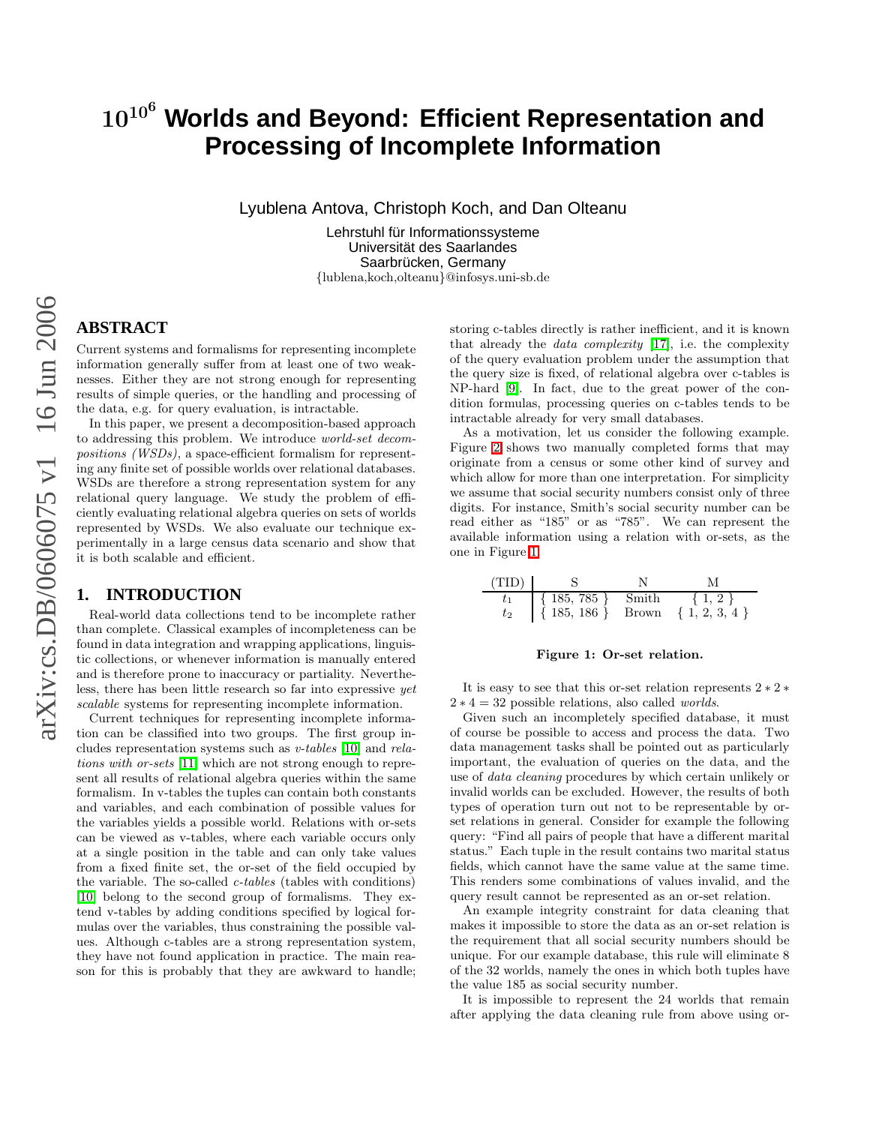# 10<sup>10</sup> <sup>6</sup> **Worlds and Beyond: Efficient Representation and Processing of Incomplete Information**

Lyublena Antova, Christoph Koch, and Dan Olteanu

Lehrstuhl für Informationssysteme Universität des Saarlandes Saarbrücken, Germany {lublena,koch,olteanu }@infosys.uni-sb.de

# **ABSTRACT**

Current systems and formalisms for representing incomplet e information generally suffer from at least one of two weaknesses. Either they are not strong enough for representing results of simple queries, or the handling and processing of the data, e.g. for query evaluation, is intractable.

In this paper, we present a decomposition-based approach to addressing this problem. We introduce world-set decompositions (WSDs), a space-efficient formalism for representing any finite set of possible worlds over relational databases. WSDs are therefore a strong representation system for any relational query language. We study the problem of efficiently evaluating relational algebra queries on sets of worlds represented by WSDs. We also evaluate our technique experimentally in a large census data scenario and show that it is both scalable and efficient.

# <span id="page-0-1"></span>**1. INTRODUCTION**

Real-world data collections tend to be incomplete rather than complete. Classical examples of incompleteness can be found in data integration and wrapping applications, linguistic collections, or whenever information is manually entered and is therefore prone to inaccuracy or partiality. Nevertheless, there has been little research so far into expressive yet scalable systems for representing incomplete information.

Current techniques for representing incomplete information can be classified into two groups. The first group includes representation systems such as v-tables [\[10\]](#page-14-0) and relations with or-sets [\[11\]](#page-14-1) which are not strong enough to represent all results of relational algebra queries within the same formalism. In v-tables the tuples can contain both constant s and variables, and each combination of possible values for the variables yields a possible world. Relations with or-sets can be viewed as v-tables, where each variable occurs only at a single position in the table and can only take values from a fixed finite set, the or-set of the field occupied by the variable. The so-called  $c$ -tables (tables with conditions) [\[10\]](#page-14-0) belong to the second group of formalisms. They extend v-tables by adding conditions specified by logical formulas over the variables, thus constraining the possible values. Although c-tables are a strong representation system, they have not found application in practice. The main reason for this is probably that they are awkward to handle;

storing c-tables directly is rather inefficient, and it is known that already the data complexity [\[17\]](#page-14-2), i.e. the complexity of the query evaluation problem under the assumption that the query size is fixed, of relational algebra over c-tables i s NP-hard [\[9\]](#page-14-3). In fact, due to the great power of the condition formulas, processing queries on c-tables tends to be intractable already for very small databases.

As a motivation, let us consider the following example. Figure [2](#page-1-0) shows two manually completed forms that may originate from a census or some other kind of survey and which allow for more than one interpretation. For simplicity we assume that social security numbers consist only of three digits. For instance, Smith's social security number can be read either as "185" or as "785". We can represent the available information using a relation with or-sets, as the one in Figure [1.](#page-0-0)

$$
\begin{array}{c|cc}\n(TID) & S & N & M \\
\hline\nt_1 & {185, 785} & Smith & {1, 2} \\
t_2 & {185, 186} & Brown & {1, 2, 3, 4}\n\end{array}
$$

#### <span id="page-0-0"></span>Figure 1: Or-set relation.

It is easy to see that this or-set relation represents  $2 \times 2 \times$  $2 * 4 = 32$  possible relations, also called *worlds*.

Given such an incompletely specified database, it must of course be possible to access and process the data. Two data management tasks shall be pointed out as particularly important, the evaluation of queries on the data, and the use of data cleaning procedures by which certain unlikely or invalid worlds can be excluded. However, the results of both types of operation turn out not to be representable by orset relations in general. Consider for example the following query: "Find all pairs of people that have a different marital status." Each tuple in the result contains two marital statu s fields, which cannot have the same value at the same time. This renders some combinations of values invalid, and the query result cannot be represented as an or-set relation.

An example integrity constraint for data cleaning that makes it impossible to store the data as an or-set relation is the requirement that all social security numbers should be unique. For our example database, this rule will eliminate 8 of the 32 worlds, namely the ones in which both tuples have the value 185 as social security number.

It is impossible to represent the 24 worlds that remain after applying the data cleaning rule from above using or-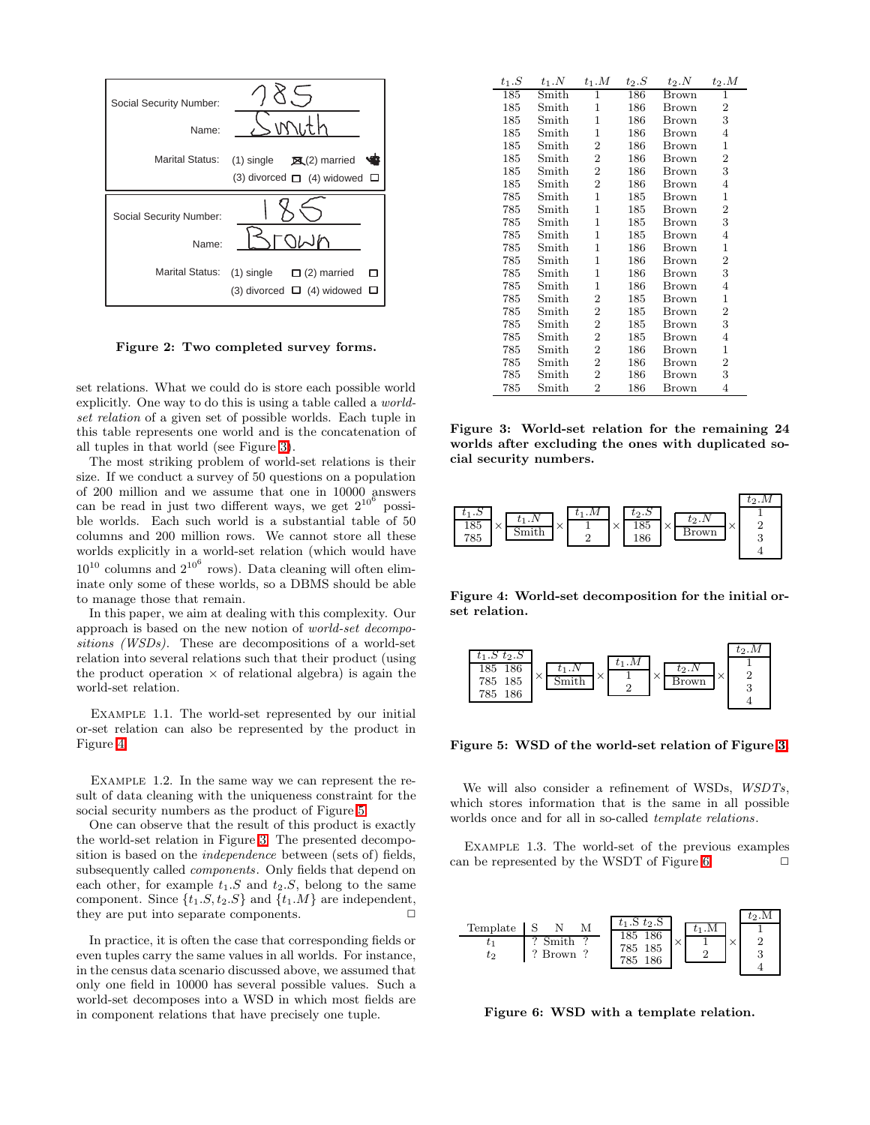| Social Security Number:<br>Name: | W                                                                                  |
|----------------------------------|------------------------------------------------------------------------------------|
| <b>Marital Status:</b>           | $\mathbb{R}$ (2) married<br>$(1)$ single<br>(3) divorced $\Box$ (4) widowed $\Box$ |
|                                  |                                                                                    |
| Social Security Number:<br>Name: |                                                                                    |

<span id="page-1-0"></span>Figure 2: Two completed survey forms.

set relations. What we could do is store each possible world explicitly. One way to do this is using a table called a worldset relation of a given set of possible worlds. Each tuple in this table represents one world and is the concatenation of all tuples in that world (see Figure [3\)](#page-1-1).

The most striking problem of world-set relations is their size. If we conduct a survey of 50 questions on a population of 200 million and we assume that one in 10000 answers can be read in just two different ways, we get  $2^{10^6}$  possible worlds. Each such world is a substantial table of 50 columns and 200 million rows. We cannot store all these worlds explicitly in a world-set relation (which would have  $10^{10}$  columns and  $2^{10^6}$  rows). Data cleaning will often eliminate only some of these worlds, so a DBMS should be able to manage those that remain.

In this paper, we aim at dealing with this complexity. Our approach is based on the new notion of world-set decompositions (WSDs). These are decompositions of a world-set relation into several relations such that their product (using the product operation  $\times$  of relational algebra) is again the world-set relation.

Example 1.1. The world-set represented by our initial or-set relation can also be represented by the product in Figure [4.](#page-1-2)

<span id="page-1-6"></span>Example 1.2. In the same way we can represent the result of data cleaning with the uniqueness constraint for the social security numbers as the product of Figure [5.](#page-1-3)

One can observe that the result of this product is exactly the world-set relation in Figure [3.](#page-1-1) The presented decomposition is based on the *independence* between (sets of) fields, subsequently called components. Only fields that depend on each other, for example  $t_1.S$  and  $t_2.S$ , belong to the same component. Since  $\{t_1.S, t_2.S\}$  and  $\{t_1.M\}$  are independent, they are put into separate components.  $\Box$ 

In practice, it is often the case that corresponding fields or even tuples carry the same values in all worlds. For instance, in the census data scenario discussed above, we assumed that only one field in 10000 has several possible values. Such a world-set decomposes into a WSD in which most fields are in component relations that have precisely one tuple.

| $t_1.S$ | $t_1.N$ | $t_1.M$        | $t_2.S$ | $t_2$ .N | $t_2.M$        |
|---------|---------|----------------|---------|----------|----------------|
| 185     | Smith   | 1              | 186     | Brown    | ī              |
| 185     | Smith   | $\mathbf{1}$   | 186     | Brown    | 2              |
| 185     | Smith   | $\mathbf{1}$   | 186     | Brown    | 3              |
| 185     | Smith   | $\mathbf{1}$   | 186     | Brown    | 4              |
| 185     | Smith   | $\overline{2}$ | 186     | Brown    | $\mathbf 1$    |
| 185     | Smith   | $\overline{2}$ | 186     | Brown    | $\overline{2}$ |
| 185     | Smith   | $\overline{2}$ | 186     | Brown    | 3              |
| 185     | Smith   | $\overline{2}$ | 186     | Brown    | 4              |
| 785     | Smith   | $\mathbf{1}$   | 185     | Brown    | $\mathbf 1$    |
| 785     | Smith   | $\mathbf{1}$   | 185     | Brown    | $\overline{2}$ |
| 785     | Smith   | $\mathbf{1}$   | 185     | Brown    | 3              |
| 785     | Smith   | $\mathbf{1}$   | 185     | Brown    | $\overline{4}$ |
| 785     | Smith   | $\mathbf{1}$   | 186     | Brown    | $\mathbf 1$    |
| 785     | Smith   | $\mathbf{1}$   | 186     | Brown    | $\overline{2}$ |
| 785     | Smith   | $\mathbf{1}$   | 186     | Brown    | 3              |
| 785     | Smith   | $\mathbf{1}$   | 186     | Brown    | $\overline{4}$ |
| 785     | Smith   | $\overline{2}$ | 185     | Brown    | $\mathbf 1$    |
| 785     | Smith   | $\overline{2}$ | 185     | Brown    | $\overline{2}$ |
| 785     | Smith   | $\overline{2}$ | 185     | Brown    | 3              |
| 785     | Smith   | $\overline{2}$ | 185     | Brown    | 4              |
| 785     | Smith   | $\overline{2}$ | 186     | Brown    | $\mathbf 1$    |
| 785     | Smith   | $\overline{2}$ | 186     | Brown    | 2              |
| 785     | Smith   | $\overline{2}$ | 186     | Brown    | 3              |
| 785     | Smith   | $\overline{2}$ | 186     | Brown    | 4              |

<span id="page-1-1"></span>Figure 3: World-set relation for the remaining 24 worlds after excluding the ones with duplicated social security numbers.



<span id="page-1-2"></span>Figure 4: World-set decomposition for the initial orset relation.



<span id="page-1-3"></span>Figure 5: WSD of the world-set relation of Figure [3.](#page-1-1)

We will also consider a refinement of WSDs,  $WSDTS$ , which stores information that is the same in all possible worlds once and for all in so-called template relations.

<span id="page-1-5"></span>EXAMPLE 1.3. The world-set of the previous examples can be represented by the WSDT of Figure [6.](#page-1-4)  $\Box$ 



<span id="page-1-4"></span>Figure 6: WSD with a template relation.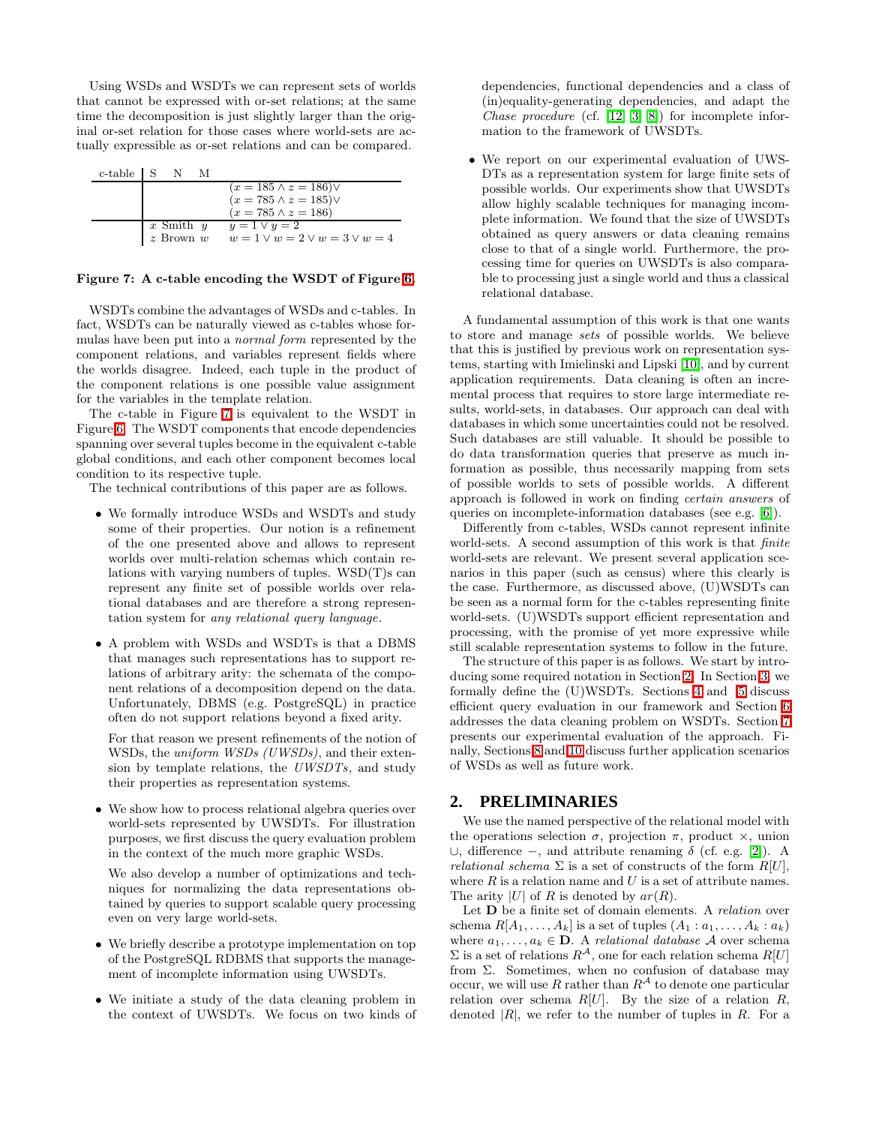Using WSDs and WSDTs we can represent sets of worlds that cannot be expressed with or-set relations; at the same time the decomposition is just slightly larger than the original or-set relation for those cases where world-sets are actually expressible as or-set relations and can be compared.

| $c$ -table $\mid S \mid N \mid$ |               | M |                                          |
|---------------------------------|---------------|---|------------------------------------------|
|                                 |               |   | $(x = 185 \land z = 186) \lor$           |
|                                 |               |   | $(x = 785 \land z = 185) \lor$           |
|                                 |               |   | $(x = 785 \land z = 186)$                |
|                                 | x Smith $y$   |   | $y=1 \vee y=2$                           |
|                                 | $z$ Brown $w$ |   | $w = 1 \vee w = 2 \vee w = 3 \vee w = 4$ |

#### <span id="page-2-0"></span>Figure 7: A c-table encoding the WSDT of Figure [6.](#page-1-4)

WSDTs combine the advantages of WSDs and c-tables. In fact, WSDTs can be naturally viewed as c-tables whose formulas have been put into a normal form represented by the component relations, and variables represent fields where the worlds disagree. Indeed, each tuple in the product of the component relations is one possible value assignment for the variables in the template relation.

The c-table in Figure [7](#page-2-0) is equivalent to the WSDT in Figure [6.](#page-1-4) The WSDT components that encode dependencies spanning over several tuples become in the equivalent c-table global conditions, and each other component becomes local condition to its respective tuple.

The technical contributions of this paper are as follows.

- We formally introduce WSDs and WSDTs and study some of their properties. Our notion is a refinement of the one presented above and allows to represent worlds over multi-relation schemas which contain relations with varying numbers of tuples. WSD(T)s can represent any finite set of possible worlds over relational databases and are therefore a strong representation system for any relational query language.
- A problem with WSDs and WSDTs is that a DBMS that manages such representations has to support relations of arbitrary arity: the schemata of the component relations of a decomposition depend on the data. Unfortunately, DBMS (e.g. PostgreSQL) in practice often do not support relations beyond a fixed arity.

For that reason we present refinements of the notion of WSDs, the *uniform WSDs (UWSDs)*, and their extension by template relations, the UWSDTs, and study their properties as representation systems.

• We show how to process relational algebra queries over world-sets represented by UWSDTs. For illustration purposes, we first discuss the query evaluation problem in the context of the much more graphic WSDs.

We also develop a number of optimizations and techniques for normalizing the data representations obtained by queries to support scalable query processing even on very large world-sets.

- We briefly describe a prototype implementation on top of the PostgreSQL RDBMS that supports the management of incomplete information using UWSDTs.
- We initiate a study of the data cleaning problem in the context of UWSDTs. We focus on two kinds of

dependencies, functional dependencies and a class of (in)equality-generating dependencies, and adapt the Chase procedure (cf. [\[12,](#page-14-4) [3,](#page-14-5) [8\]](#page-14-6)) for incomplete information to the framework of UWSDTs.

• We report on our experimental evaluation of UWS-DTs as a representation system for large finite sets of possible worlds. Our experiments show that UWSDTs allow highly scalable techniques for managing incomplete information. We found that the size of UWSDTs obtained as query answers or data cleaning remains close to that of a single world. Furthermore, the processing time for queries on UWSDTs is also comparable to processing just a single world and thus a classical relational database.

A fundamental assumption of this work is that one wants to store and manage sets of possible worlds. We believe that this is justified by previous work on representation systems, starting with Imielinski and Lipski [\[10\]](#page-14-0), and by current application requirements. Data cleaning is often an incremental process that requires to store large intermediate results, world-sets, in databases. Our approach can deal with databases in which some uncertainties could not be resolved. Such databases are still valuable. It should be possible to do data transformation queries that preserve as much information as possible, thus necessarily mapping from sets of possible worlds to sets of possible worlds. A different approach is followed in work on finding certain answers of queries on incomplete-information databases (see e.g. [\[6\]](#page-14-7)).

Differently from c-tables, WSDs cannot represent infinite world-sets. A second assumption of this work is that *finite* world-sets are relevant. We present several application scenarios in this paper (such as census) where this clearly is the case. Furthermore, as discussed above, (U)WSDTs can be seen as a normal form for the c-tables representing finite world-sets. (U)WSDTs support efficient representation and processing, with the promise of yet more expressive while still scalable representation systems to follow in the future.

The structure of this paper is as follows. We start by introducing some required notation in Section [2.](#page-2-1) In Section [3,](#page-3-0) we formally define the (U)WSDTs. Sections [4](#page-4-0) and [5](#page-9-0) discuss efficient query evaluation in our framework and Section [6](#page-9-1) addresses the data cleaning problem on WSDTs. Section [7](#page-10-0) presents our experimental evaluation of the approach. Finally, Sections [8](#page-12-0) and [10](#page-14-8) discuss further application scenarios of WSDs as well as future work.

#### <span id="page-2-1"></span>**2. PRELIMINARIES**

We use the named perspective of the relational model with the operations selection  $\sigma$ , projection  $\pi$ , product  $\times$ , union ∪, difference –, and attribute renaming δ (cf. e.g. [\[2\]](#page-14-9)). A *relational schema*  $\Sigma$  is a set of constructs of the form  $R[U]$ , where  $R$  is a relation name and  $U$  is a set of attribute names. The arity |U| of R is denoted by  $ar(R)$ .

Let **D** be a finite set of domain elements. A relation over schema  $R[A_1, \ldots, A_k]$  is a set of tuples  $(A_1 : a_1, \ldots, A_k : a_k)$ where  $a_1, \ldots, a_k \in \mathbf{D}$ . A relational database A over schema  $\Sigma$  is a set of relations  $R^{\mathcal{A}}$ , one for each relation schema  $R[U]$ from  $\Sigma$ . Sometimes, when no confusion of database may occur, we will use R rather than  $R^{\mathcal{A}}$  to denote one particular relation over schema  $R[U]$ . By the size of a relation  $R$ , denoted  $|R|$ , we refer to the number of tuples in R. For a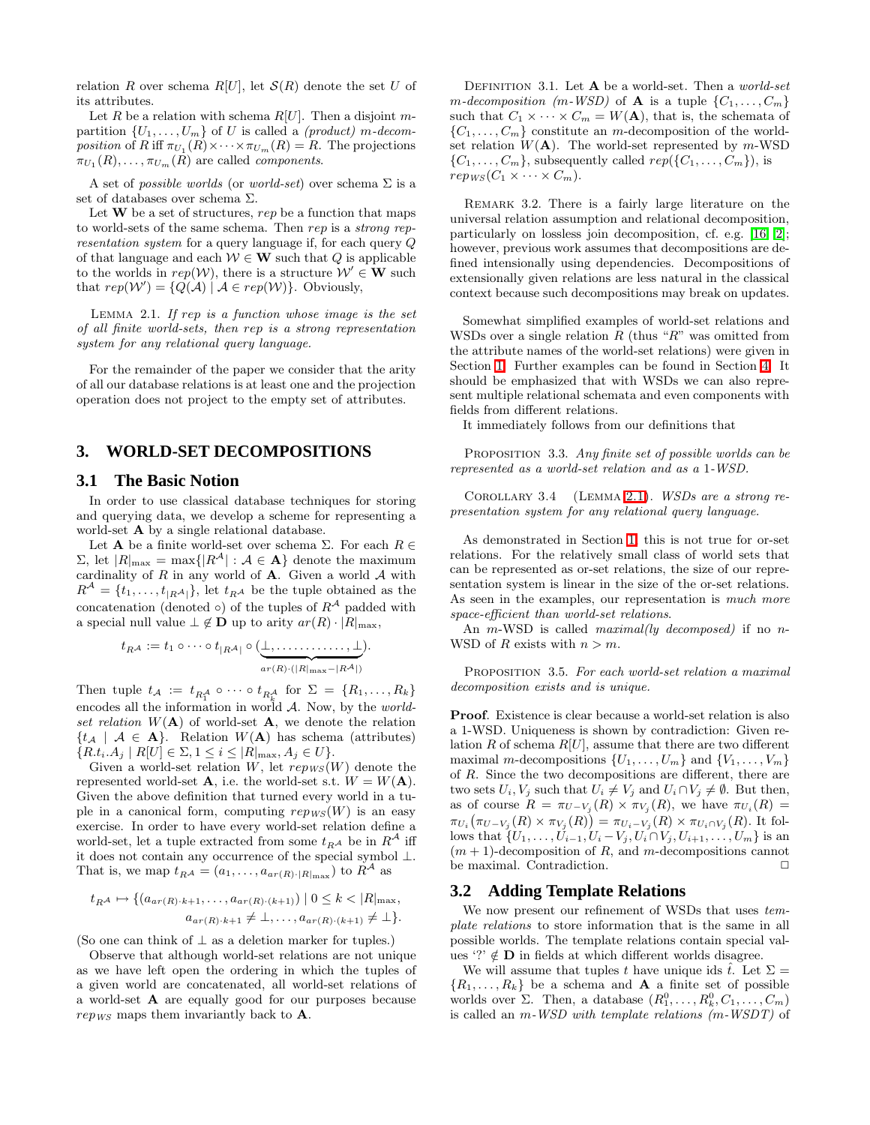relation R over schema  $R[U]$ , let  $S(R)$  denote the set U of its attributes.

Let R be a relation with schema  $R[U]$ . Then a disjoint mpartition  $\{U_1, \ldots, U_m\}$  of U is called a *(product)* m-decomposition of R iff  $\pi_{U_1}(R) \times \cdots \times \pi_{U_m}(R) = R$ . The projections  $\pi_{U_1}(R), \ldots, \pi_{U_m}(R)$  are called *components*.

A set of *possible worlds* (or *world-set*) over schema  $\Sigma$  is a set of databases over schema Σ.

Let  $W$  be a set of structures, rep be a function that maps to world-sets of the same schema. Then rep is a strong representation system for a query language if, for each query Q of that language and each  $W \in W$  such that Q is applicable to the worlds in  $rep(\mathcal{W})$ , there is a structure  $\mathcal{W}' \in \mathbf{W}$  such that  $rep(\mathcal{W}') = \{Q(\mathcal{A}) \mid \mathcal{A} \in rep(\mathcal{W})\}.$  Obviously,

<span id="page-3-1"></span>Lemma 2.1. If rep is a function whose image is the set of all finite world-sets, then rep is a strong representation system for any relational query language.

For the remainder of the paper we consider that the arity of all our database relations is at least one and the projection operation does not project to the empty set of attributes.

#### <span id="page-3-0"></span>**3. WORLD-SET DECOMPOSITIONS**

#### **3.1 The Basic Notion**

In order to use classical database techniques for storing and querying data, we develop a scheme for representing a world-set **A** by a single relational database.

Let  ${\mathbf A}$  be a finite world-set over schema Σ. For each  $R \in$  $Σ$ , let  $|R|_{max} = max\{|R^{\mathcal{A}}| : \mathcal{A} \in \mathbf{A}\}\$  denote the maximum cardinality of  $R$  in any world of  $A$ . Given a world  $A$  with  $R^{\mathcal{A}} = \{t_1, \ldots, t_{|R^{\mathcal{A}}|}\},$  let  $t_{R^{\mathcal{A}}}$  be the tuple obtained as the concatenation (denoted  $\circ$ ) of the tuples of  $R^{\mathcal{A}}$  padded with a special null value  $\perp \notin \mathbf{D}$  up to arity  $ar(R) \cdot |R|_{\text{max}}$ ,

$$
t_{R^{\mathcal{A}}} := t_1 \circ \cdots \circ t_{|R^{\mathcal{A}}|} \circ (\underbrace{\perp, \ldots, \ldots, \perp}_{ar(R) \cdot (|R|_{\max} - |R^{\mathcal{A}}|)}).
$$

Then tuple  $t_{\mathcal{A}} := t_{R_1^{\mathcal{A}}} \circ \cdots \circ t_{R_k^{\mathcal{A}}}$  for  $\Sigma = \{R_1, \ldots, R_k\}$ encodes all the information in world  $A$ . Now, by the *world*set relation  $W(A)$  of world-set A, we denote the relation  $\{t_{\mathcal{A}} \mid \mathcal{A} \in \mathbf{A}\}.$  Relation  $W(\mathbf{A})$  has schema (attributes)  ${R.t.} A_j | R[U] \in \Sigma, 1 \leq i \leq |R|_{\max}, A_j \in U$ .

Given a world-set relation W, let  $rep_{WS}(W)$  denote the represented world-set **A**, i.e. the world-set s.t.  $W = W(A)$ . Given the above definition that turned every world in a tuple in a canonical form, computing  $rep_{WS}(W)$  is an easy exercise. In order to have every world-set relation define a world-set, let a tuple extracted from some  $t_{R}$ <sup>A</sup> be in  $R^{\mathcal{A}}$  iff it does not contain any occurrence of the special symbol  $\bot.$ That is, we map  $t_{R\mathcal{A}} = (a_1, \ldots, a_{ar(R)\cdot|R|\max})$  to  $R^{\mathcal{A}}$  as

$$
t_{R\mathcal{A}} \mapsto \{ (a_{ar(R)\cdot k+1}, \dots, a_{ar(R)\cdot (k+1)}) \mid 0 \le k < |R|_{\max},
$$
  

$$
a_{ar(R)\cdot k+1} \neq \bot, \dots, a_{ar(R)\cdot (k+1)} \ne \bot \}.
$$

(So one can think of  $\perp$  as a deletion marker for tuples.)

Observe that although world-set relations are not unique as we have left open the ordering in which the tuples of a given world are concatenated, all world-set relations of a world-set A are equally good for our purposes because  $rep_{WS}$  maps them invariantly back to **A**.

DEFINITION 3.1. Let  $A$  be a world-set. Then a *world-set* m-decomposition (m-WSD) of **A** is a tuple  $\{C_1, \ldots, C_m\}$ such that  $C_1 \times \cdots \times C_m = W(A)$ , that is, the schemata of  $\{C_1, \ldots, C_m\}$  constitute an m-decomposition of the worldset relation  $W(A)$ . The world-set represented by m-WSD  $\{C_1, \ldots, C_m\}$ , subsequently called  $rep(\{C_1, \ldots, C_m\})$ , is  $rep_{WS}(C_1 \times \cdots \times C_m).$ 

Remark 3.2. There is a fairly large literature on the universal relation assumption and relational decomposition, particularly on lossless join decomposition, cf. e.g. [\[16,](#page-14-10) [2\]](#page-14-9); however, previous work assumes that decompositions are defined intensionally using dependencies. Decompositions of extensionally given relations are less natural in the classical context because such decompositions may break on updates.

Somewhat simplified examples of world-set relations and WSDs over a single relation  $R$  (thus " $R$ " was omitted from the attribute names of the world-set relations) were given in Section [1.](#page-0-1) Further examples can be found in Section [4.](#page-4-0) It should be emphasized that with WSDs we can also represent multiple relational schemata and even components with fields from different relations.

It immediately follows from our definitions that

PROPOSITION 3.3. Any finite set of possible worlds can be represented as a world-set relation and as a 1-WSD.

Corollary 3.4 (Lemma [2.1\)](#page-3-1). WSDs are a strong representation system for any relational query language.

As demonstrated in Section [1,](#page-0-1) this is not true for or-set relations. For the relatively small class of world sets that can be represented as or-set relations, the size of our representation system is linear in the size of the or-set relations. As seen in the examples, our representation is much more space-efficient than world-set relations.

An m-WSD is called *maximal(ly decomposed)* if no n-WSD of R exists with  $n > m$ .

PROPOSITION 3.5. For each world-set relation a maximal decomposition exists and is unique.

Proof. Existence is clear because a world-set relation is also a 1-WSD. Uniqueness is shown by contradiction: Given relation R of schema  $R[U]$ , assume that there are two different maximal m-decompositions  $\{U_1, \ldots, U_m\}$  and  $\{V_1, \ldots, V_m\}$ of R. Since the two decompositions are different, there are two sets  $U_i, V_j$  such that  $U_i \neq V_j$  and  $U_i \cap V_j \neq \emptyset$ . But then, as of course  $R = \pi_{U-V_j}(R) \times \pi_{V_j}(R)$ , we have  $\pi_{U_i}(R) =$  $\pi_{U_i}(\pi_{U-V_j}(R) \times \pi_{V_j}(R)) = \pi_{U_i-V_j}(R) \times \pi_{U_i \cap V_j}(R)$ . It follows that  $\{U_1, \ldots, U_{i-1}, U_i - V_j, U_i \cap V_j, U_{i+1}, \ldots, U_m\}$  is an  $(m + 1)$ -decomposition of R, and m-decompositions cannot be maximal. Contradiction.  $\Box$ 

#### **3.2 Adding Template Relations**

We now present our refinement of WSDs that uses  $tem$ plate relations to store information that is the same in all possible worlds. The template relations contain special values '?'  $\notin$  **D** in fields at which different worlds disagree.

We will assume that tuples t have unique ids  $\hat{t}$ . Let  $\Sigma =$  $\{R_1, \ldots, R_k\}$  be a schema and **A** a finite set of possible worlds over  $\Sigma$ . Then, a database  $(R_1^0, \ldots, R_k^0, C_1, \ldots, C_m)$ is called an m-WSD with template relations (m-WSDT) of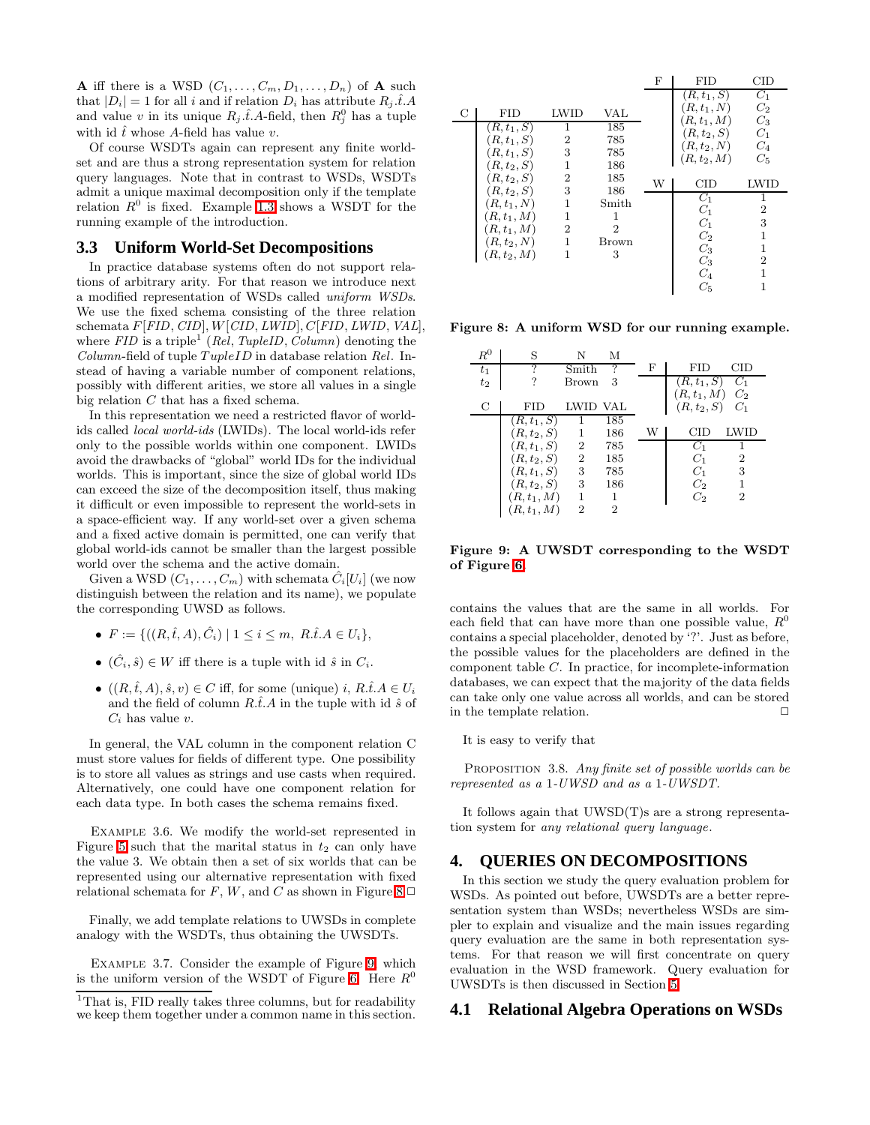**A** iff there is a WSD  $(C_1, \ldots, C_m, D_1, \ldots, D_n)$  of **A** such that  $|D_i| = 1$  for all i and if relation  $D_i$  has attribute  $R_i \hat{t} A$ and value v in its unique  $R_j \hat{t}$ . A-field, then  $R_j^0$  has a tuple with id  $\hat{t}$  whose A-field has value v.

Of course WSDTs again can represent any finite worldset and are thus a strong representation system for relation query languages. Note that in contrast to WSDs, WSDTs admit a unique maximal decomposition only if the template relation  $R^0$  is fixed. Example [1.3](#page-1-5) shows a WSDT for the running example of the introduction.

#### **3.3 Uniform World-Set Decompositions**

In practice database systems often do not support relations of arbitrary arity. For that reason we introduce next a modified representation of WSDs called uniform WSDs. We use the fixed schema consisting of the three relation schemata F[FID, CID], W[CID, LWID], C[FID, LWID, VAL], where  $FID$  is a triple<sup>1</sup> (Rel, TupleID, Column) denoting the  $Column$ -field of tuple  $TupleID$  in database relation Rel. Instead of having a variable number of component relations, possibly with different arities, we store all values in a single big relation C that has a fixed schema.

In this representation we need a restricted flavor of worldids called local world-ids (LWIDs). The local world-ids refer only to the possible worlds within one component. LWIDs avoid the drawbacks of "global" world IDs for the individual worlds. This is important, since the size of global world IDs can exceed the size of the decomposition itself, thus making it difficult or even impossible to represent the world-sets in a space-efficient way. If any world-set over a given schema and a fixed active domain is permitted, one can verify that global world-ids cannot be smaller than the largest possible world over the schema and the active domain.

Given a WSD  $(C_1, \ldots, C_m)$  with schemata  $\hat{C}_i[U_i]$  (we now distinguish between the relation and its name), we populate the corresponding UWSD as follows.

- $F := \{((R, \hat{t}, A), \hat{C}_i) | 1 \leq i \leq m, R.\hat{t}.A \in U_i\},\$
- $(\hat{C}_i, \hat{s}) \in W$  iff there is a tuple with id  $\hat{s}$  in  $C_i$ .
- $((R, \hat{t}, A), \hat{s}, v) \in C$  iff, for some (unique) i,  $R.\hat{t}.A \in U_i$ and the field of column  $R.\hat{t}A$  in the tuple with id  $\hat{s}$  of  $C_i$  has value v.

In general, the VAL column in the component relation C must store values for fields of different type. One possibility is to store all values as strings and use casts when required. Alternatively, one could have one component relation for each data type. In both cases the schema remains fixed.

Example 3.6. We modify the world-set represented in Figure [5](#page-1-3) such that the marital status in  $t_2$  can only have the value 3. We obtain then a set of six worlds that can be represented using our alternative representation with fixed relational schemata for  $F$ ,  $W$ , and  $C$  as shown in Figure [8.](#page-4-1) $\Box$ 

Finally, we add template relations to UWSDs in complete analogy with the WSDTs, thus obtaining the UWSDTs.

Example 3.7. Consider the example of Figure [9,](#page-4-2) which is the uniform version of the WSDT of Figure [6.](#page-1-4) Here  $R^0$ 

|   |               |                |                | F | FID                            | CID            |
|---|---------------|----------------|----------------|---|--------------------------------|----------------|
|   |               |                |                |   | $(R, t_1, S)$                  | $C_1$          |
| С | <b>FID</b>    | <b>LWID</b>    | VAL            |   | $(R, t_1, N)$                  | $C_2$<br>$C_3$ |
|   | $(R,t_1,S)$   | 1              | 185            |   | $(R, t_1, M)$<br>$(R, t_2, S)$ | $C_1$          |
|   | $(R,t_1,S)$   | 2              | 785            |   | $(R, t_2, N)$                  | $C_4$          |
|   | $(R, t_1, S)$ | 3              | 785            |   | $(R, t_2, M)$                  | $C_5$          |
|   | $(R, t_2, S)$ |                | 186            |   |                                |                |
|   | $(R, t_2, S)$ | 2              | 185            | W | $_{\text{CID}}$                | LWID           |
|   | $(R, t_2, S)$ | 3              | 186            |   | $C_1$                          | 1              |
|   | $(R, t_1, N)$ | 1              | Smith          |   | $C_1$                          | $\overline{2}$ |
|   | $(R, t_1, M)$ | 1              | 1              |   | $C_1$                          | 3              |
|   | $(R, t_1, M)$ | $\overline{2}$ | $\overline{2}$ |   | $C_2$                          | 1              |
|   | $(R, t_2, N)$ | 1              | Brown          |   | $C_3$                          |                |
|   | $(R, t_2, M)$ | 1              | 3              |   | $C_3$                          | $\overline{2}$ |
|   |               |                |                |   | $C_4$                          |                |
|   |               |                |                |   | $C_5$                          |                |

<span id="page-4-1"></span>Figure 8: A uniform WSD for our running example.

| $R^0$ | S             | N              | М   |   |                |                 |
|-------|---------------|----------------|-----|---|----------------|-----------------|
| $t_1$ | 7             | Smith          | 7   | F | FID            | $_{\text{CID}}$ |
| $t_2$ |               | Brown          | 3   |   | $(R, t_1, S)$  | $C_1$           |
|       |               |                |     |   | $(R, t_1, M)$  | $C_2$           |
| C     | FID           | LWID VAL       |     |   | $(R,t_2,S)$    | $C_1$           |
|       | $(R, t_1, S)$ |                | 185 |   |                |                 |
|       | $(R, t_2, S)$ | 1              | 186 | W | CID            | LWID            |
|       | $R, t_1, S$   | $\overline{2}$ | 785 |   | $C_1$          |                 |
|       | $(R, t_2, S)$ | $\overline{2}$ | 185 |   | $C_1$          | $\overline{2}$  |
|       | $(R, t_1, S)$ | 3              | 785 |   | $C_1$          | 3               |
|       | $(R, t_2, S)$ | 3              | 186 |   | $C_{2}$        | 1               |
|       | $R, t_1, M$   | 1              | 1   |   | C <sub>2</sub> | 2               |
|       | $R, t_1, M$   | 2              | 2   |   |                |                 |

<span id="page-4-2"></span>Figure 9: A UWSDT corresponding to the WSDT of Figure [6.](#page-1-4)

contains the values that are the same in all worlds. For each field that can have more than one possible value,  $R^0$ contains a special placeholder, denoted by '?'. Just as before, the possible values for the placeholders are defined in the component table C. In practice, for incomplete-information databases, we can expect that the majority of the data fields can take only one value across all worlds, and can be stored in the template relation.  $\Box$ 

It is easy to verify that

PROPOSITION 3.8. Any finite set of possible worlds can be represented as a 1-UWSD and as a 1-UWSDT.

It follows again that UWSD(T)s are a strong representation system for any relational query language.

# <span id="page-4-0"></span>**4. QUERIES ON DECOMPOSITIONS**

In this section we study the query evaluation problem for WSDs. As pointed out before, UWSDTs are a better representation system than WSDs; nevertheless WSDs are simpler to explain and visualize and the main issues regarding query evaluation are the same in both representation systems. For that reason we will first concentrate on query evaluation in the WSD framework. Query evaluation for UWSDTs is then discussed in Section [5.](#page-9-0)

#### **4.1 Relational Algebra Operations on WSDs**

<sup>&</sup>lt;sup>1</sup>That is. FID really takes three columns, but for readability we keep them together under a common name in this section.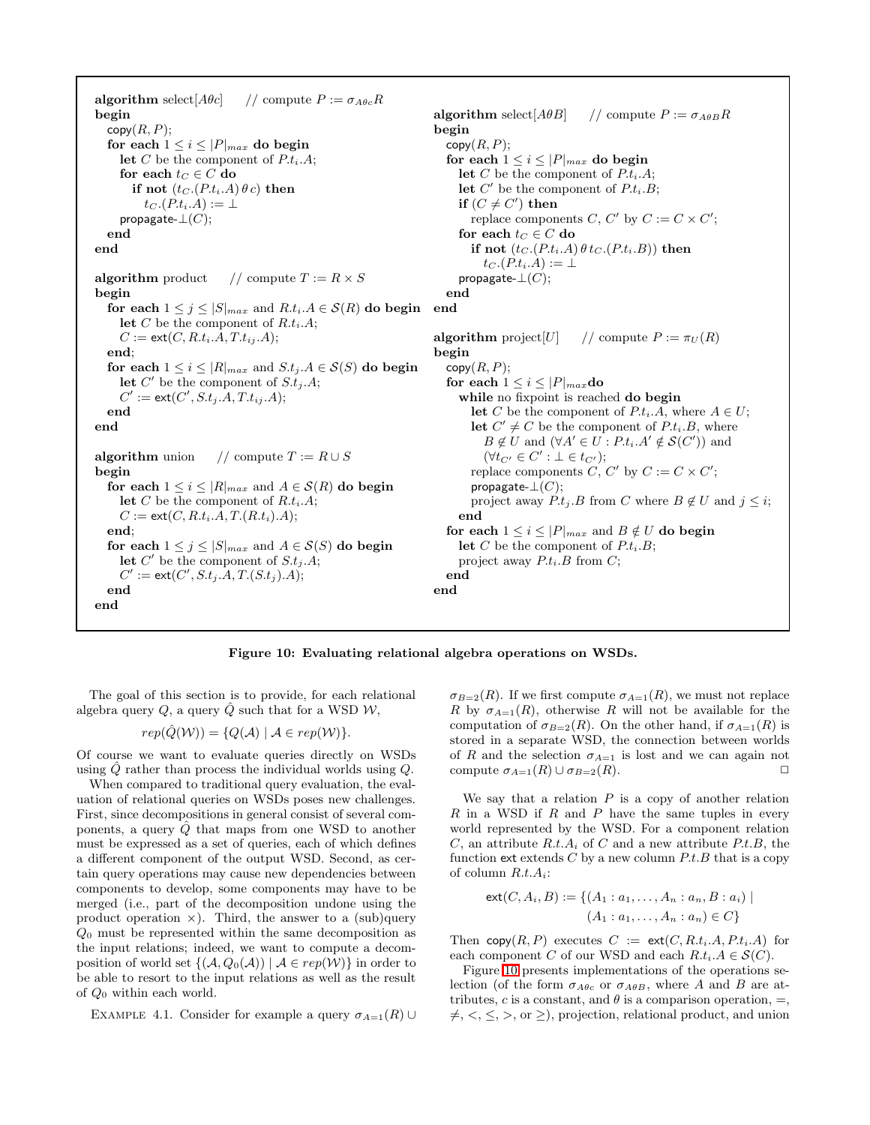algorithm select  $[A\theta c]$  // compute  $P := \sigma_{A\theta c} R$ begin  $copy(R, P);$ for each  $1 \leq i \leq |P|_{max}$  do begin let C be the component of  $P.t_i.A;$ for each  $t_C \in C$  do if not  $(t_C.(P.t_i.A) \theta c)$  then  $t_C$   $(P.t_i.A) := \perp$ propagate- $\bot(C);$ end end algorithm product // compute  $T := R \times S$ begin for each  $1 \leq j \leq |S|_{max}$  and  $R.t_i.A \in \mathcal{S}(R)$  do begin end let C be the component of  $R.t_i.A;$  $C := \mathsf{ext}(C, R.t_i.A, T.t_i.A);$ end; for each  $1 \leq i \leq |R|_{max}$  and  $S.t_j.A \in \mathcal{S}(S)$  do begin let  $C'$  be the component of  $S.t_j.A;$  $C' := \mathsf{ext}(C', S.t_j.A, T.t_{ij}.A);$ end end algorithm union // compute  $T := R \cup S$ begin for each  $1 \leq i \leq |R|_{max}$  and  $A \in \mathcal{S}(R)$  do begin let C be the component of  $R.t_i.A;$  $C := \text{ext}(C, R.t_i.A, T.(R.t_i).A);$ end; for each  $1 \leq j \leq |S|_{max}$  and  $A \in \mathcal{S}(S)$  do begin let  $C'$  be the component of  $S.t_j.A;$  $C' := \text{ext}(C', S.t_j.A, T.(S.t_j).A);$ end end algorithm select  $[A\theta B]$  // compute  $P := \sigma_{A\theta B}R$ begin  $\mathsf{copy}(R, P);$ for each  $1 \leq i \leq |P|_{max}$  do begin let C be the component of  $P.t_i.A;$ let  $C'$  be the component of  $P.t_i.B;$ if  $(C \neq C')$  then replace components C, C' by  $C := C \times C'$ ; for each  $t_C \in C$  do if not  $(t_C.(P.t_i.A) \theta t_C.(P.t_i.B))$  then  $t_C.(P.t_i.A) := \perp$ propagate- $\perp(C)$ ; end algorithm project  $[U]$  // compute  $P := \pi_U(R)$ begin  $copy(R, P);$ for each  $1 \leq i \leq |P|_{max}$ do while no fixpoint is reached do begin let C be the component of  $P.t_i.A$ , where  $A \in U$ ; let  $C' \neq C$  be the component of  $P.t_i.B$ , where  $B \notin U$  and  $(\forall A' \in U : P.t_i.A' \notin \mathcal{S}(C'))$  and  $(\forall t_{C'} \in C' : \bot \in t_{C'});$ replace components  $C, C'$  by  $C := C \times C'$ ; propagate- $\perp(C)$ ; project away  $P.t_j.B$  from C where  $B \notin U$  and  $j \leq i$ ; end for each  $1 \leq i \leq |P|_{max}$  and  $B \notin U$  do begin let C be the component of  $P.t_i.B;$ project away  $P.t_i.B$  from  $C$ ; end end

#### <span id="page-5-0"></span>Figure 10: Evaluating relational algebra operations on WSDs.

The goal of this section is to provide, for each relational algebra query  $Q$ , a query  $\hat{Q}$  such that for a WSD  $\mathcal{W}$ ,

$$
rep(\hat{Q}(\mathcal{W})) = \{Q(\mathcal{A}) \mid \mathcal{A} \in rep(\mathcal{W})\}.
$$

Of course we want to evaluate queries directly on WSDs using  $\hat{Q}$  rather than process the individual worlds using  $Q$ .

When compared to traditional query evaluation, the evaluation of relational queries on WSDs poses new challenges. First, since decompositions in general consist of several components, a query  $\ddot{Q}$  that maps from one WSD to another must be expressed as a set of queries, each of which defines a different component of the output WSD. Second, as certain query operations may cause new dependencies between components to develop, some components may have to be merged (i.e., part of the decomposition undone using the product operation  $\times$ ). Third, the answer to a (sub)query  $Q_0$  must be represented within the same decomposition as the input relations; indeed, we want to compute a decomposition of world set  ${((\mathcal{A}, Q_0(\mathcal{A})) | \mathcal{A} \in rep(\mathcal{W})\}$  in order to be able to resort to the input relations as well as the result of  $Q_0$  within each world.

EXAMPLE 4.1. Consider for example a query  $\sigma_{A=1}(R) \cup$ 

 $\sigma_{B=2}(R)$ . If we first compute  $\sigma_{A=1}(R)$ , we must not replace R by  $\sigma_{A=1}(R)$ , otherwise R will not be available for the computation of  $\sigma_{B=2}(R)$ . On the other hand, if  $\sigma_{A=1}(R)$  is stored in a separate WSD, the connection between worlds of R and the selection  $\sigma_{A=1}$  is lost and we can again not compute  $\sigma_{A=1}(R) \cup \sigma_{B=2}(R)$ .

We say that a relation  $P$  is a copy of another relation  $R$  in a WSD if  $R$  and  $P$  have the same tuples in every world represented by the WSD. For a component relation C, an attribute  $R.t.A_i$  of C and a new attribute  $P.t.B.$ , the function ext extends  $C$  by a new column  $P.t.B$  that is a copy of column  $R.t.A_i$ :

$$
ext(C, A_i, B) := \{ (A_1 : a_1, \dots, A_n : a_n, B : a_i) \mid (A_1 : a_1, \dots, A_n : a_n) \in C \}
$$

Then copy $(R, P)$  executes  $C := \text{ext}(C, R.t_i.A, P.t_i.A)$  for each component C of our WSD and each  $R.t_i.A \in \mathcal{S}(C)$ .

Figure [10](#page-5-0) presents implementations of the operations selection (of the form  $\sigma_{A\theta c}$  or  $\sigma_{A\theta B}$ , where A and B are attributes, c is a constant, and  $\theta$  is a comparison operation,  $=$ ,  $\neq, \leq, \leq, \geq,$  or  $\geq$ ), projection, relational product, and union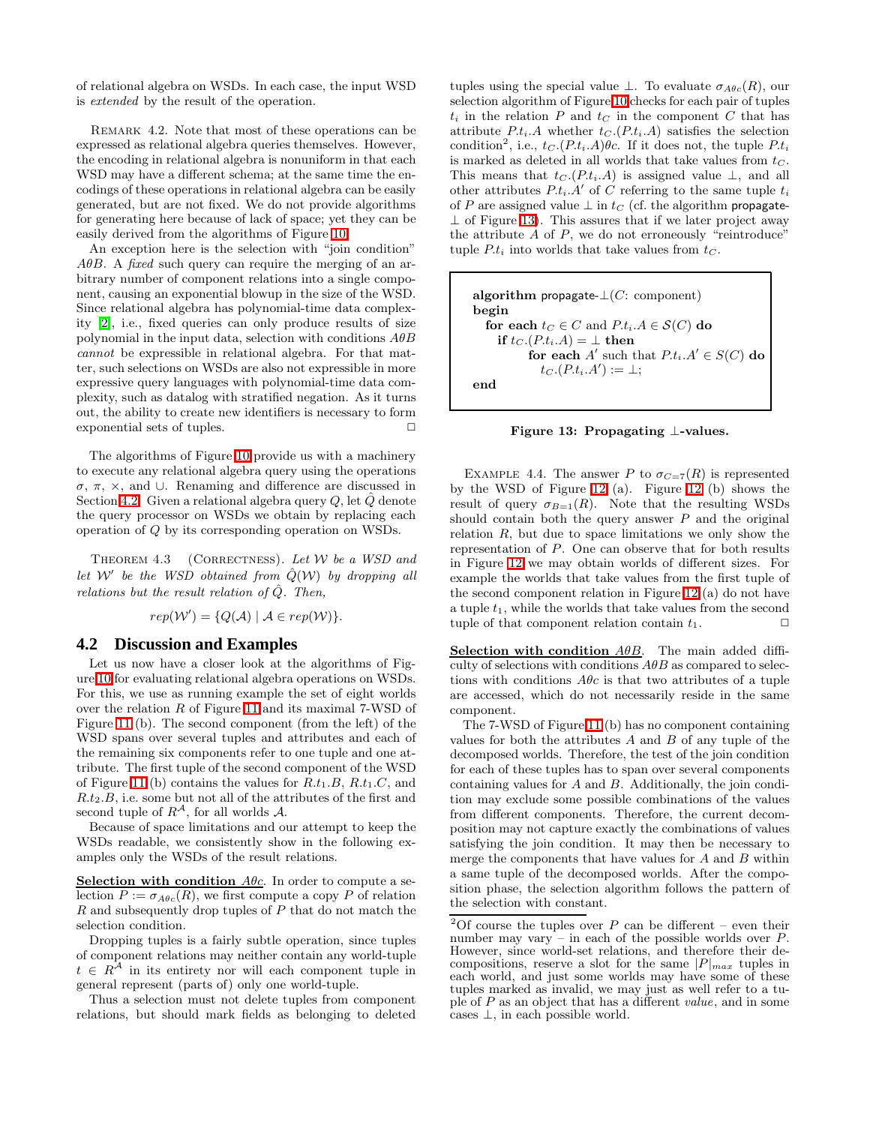of relational algebra on WSDs. In each case, the input WSD is extended by the result of the operation.

REMARK 4.2. Note that most of these operations can be expressed as relational algebra queries themselves. However, the encoding in relational algebra is nonuniform in that each WSD may have a different schema; at the same time the encodings of these operations in relational algebra can be easily generated, but are not fixed. We do not provide algorithms for generating here because of lack of space; yet they can be easily derived from the algorithms of Figure [10.](#page-5-0)

An exception here is the selection with "join condition"  $A\theta B$ . A fixed such query can require the merging of an arbitrary number of component relations into a single component, causing an exponential blowup in the size of the WSD. Since relational algebra has polynomial-time data complexity [\[2\]](#page-14-9), i.e., fixed queries can only produce results of size polynomial in the input data, selection with conditions  $A\theta B$ cannot be expressible in relational algebra. For that matter, such selections on WSDs are also not expressible in more expressive query languages with polynomial-time data complexity, such as datalog with stratified negation. As it turns out, the ability to create new identifiers is necessary to form exponential sets of tuples.  $\Box$ 

The algorithms of Figure [10](#page-5-0) provide us with a machinery to execute any relational algebra query using the operations σ, π, ×, and ∪. Renaming and difference are discussed in Section [4.2.](#page-6-0) Given a relational algebra query  $Q$ , let  $\ddot{Q}$  denote the query processor on WSDs we obtain by replacing each operation of Q by its corresponding operation on WSDs.

THEOREM 4.3 (CORRECTNESS). Let  $W$  be a WSD and let W' be the WSD obtained from  $\hat{Q}(W)$  by dropping all relations but the result relation of  $\hat{Q}$ . Then,

$$
rep(W') = \{Q(\mathcal{A}) \mid \mathcal{A} \in rep(W)\}.
$$

# <span id="page-6-0"></span>**4.2 Discussion and Examples**

Let us now have a closer look at the algorithms of Figure [10](#page-5-0) for evaluating relational algebra operations on WSDs. For this, we use as running example the set of eight worlds over the relation R of Figure [11](#page-7-0) and its maximal 7-WSD of Figure [11](#page-7-0) (b). The second component (from the left) of the WSD spans over several tuples and attributes and each of the remaining six components refer to one tuple and one attribute. The first tuple of the second component of the WSD of Figure [11](#page-7-0) (b) contains the values for  $R.t_1.B, R.t_1.C$ , and  $R.t<sub>2</sub>.B$ , i.e. some but not all of the attributes of the first and second tuple of  $R^{\mathcal{A}}$ , for all worlds  $\mathcal{A}$ .

Because of space limitations and our attempt to keep the WSDs readable, we consistently show in the following examples only the WSDs of the result relations.

Selection with condition  $A\theta c$ . In order to compute a selection  $P := \sigma_{A\theta c}(R)$ , we first compute a copy P of relation R and subsequently drop tuples of P that do not match the selection condition.

Dropping tuples is a fairly subtle operation, since tuples of component relations may neither contain any world-tuple  $t \in R^{\mathcal{A}}$  in its entirety nor will each component tuple in general represent (parts of) only one world-tuple.

Thus a selection must not delete tuples from component relations, but should mark fields as belonging to deleted tuples using the special value  $\perp$ . To evaluate  $\sigma_{A\theta c}(R)$ , our selection algorithm of Figure [10](#page-5-0) checks for each pair of tuples  $t_i$  in the relation P and  $t_c$  in the component C that has attribute  $P.t_i.A$  whether  $t_C.(P.t_i.A)$  satisfies the selection condition<sup>2</sup>, i.e.,  $t_C.(P.t_i.A)\theta c$ . If it does not, the tuple  $P.t_i$ is marked as deleted in all worlds that take values from  $t<sub>C</sub>$ . This means that  $t_C(P_t,t_i,A)$  is assigned value  $\perp$ , and all other attributes  $P.t_i.A'$  of C referring to the same tuple  $t_i$ of P are assigned value  $\perp$  in  $t_C$  (cf. the algorithm propagate- $\perp$  of Figure [13\)](#page-6-1). This assures that if we later project away the attribute  $A$  of  $P$ , we do not erroneously "reintroduce" tuple  $P.t_i$  into worlds that take values from  $t_C$ .

algorithm propagate- $\bot(C:$  component) begin for each  $t_C \in C$  and  $P_t_i.A \in \mathcal{S}(C)$  do if  $t_C.(P.t_i.A) = \perp$  then for each  $A'$  such that  $P.t_i.A' \in S(C)$  do  $t_C.\left(P.t_i.A'\right) := \bot;$ end

<span id="page-6-1"></span>Figure 13: Propagating ⊥-values.

EXAMPLE 4.4. The answer P to  $\sigma_{C=7}(R)$  is represented by the WSD of Figure [12](#page-7-1) (a). Figure [12](#page-7-1) (b) shows the result of query  $\sigma_{B=1}(R)$ . Note that the resulting WSDs should contain both the query answer  $P$  and the original relation  $R$ , but due to space limitations we only show the representation of P. One can observe that for both results in Figure [12](#page-7-1) we may obtain worlds of different sizes. For example the worlds that take values from the first tuple of the second component relation in Figure [12](#page-7-1) (a) do not have a tuple  $t_1$ , while the worlds that take values from the second tuple of that component relation contain  $t_1$ .  $\Box$ 

Selection with condition  $A\theta B$ . The main added difficulty of selections with conditions  $A\theta B$  as compared to selections with conditions  $A\theta c$  is that two attributes of a tuple are accessed, which do not necessarily reside in the same component.

The 7-WSD of Figure [11](#page-7-0) (b) has no component containing values for both the attributes  $A$  and  $B$  of any tuple of the decomposed worlds. Therefore, the test of the join condition for each of these tuples has to span over several components containing values for A and B. Additionally, the join condition may exclude some possible combinations of the values from different components. Therefore, the current decomposition may not capture exactly the combinations of values satisfying the join condition. It may then be necessary to merge the components that have values for A and B within a same tuple of the decomposed worlds. After the composition phase, the selection algorithm follows the pattern of the selection with constant.

<sup>&</sup>lt;sup>2</sup>Of course the tuples over  $P$  can be different – even their number may vary  $\hat{i}$  in each of the possible worlds over  $P$ . However, since world-set relations, and therefore their decompositions, reserve a slot for the same  $|P|_{max}$  tuples in each world, and just some worlds may have some of these tuples marked as invalid, we may just as well refer to a tuple of  $P$  as an object that has a different value, and in some cases  $\perp$ , in each possible world.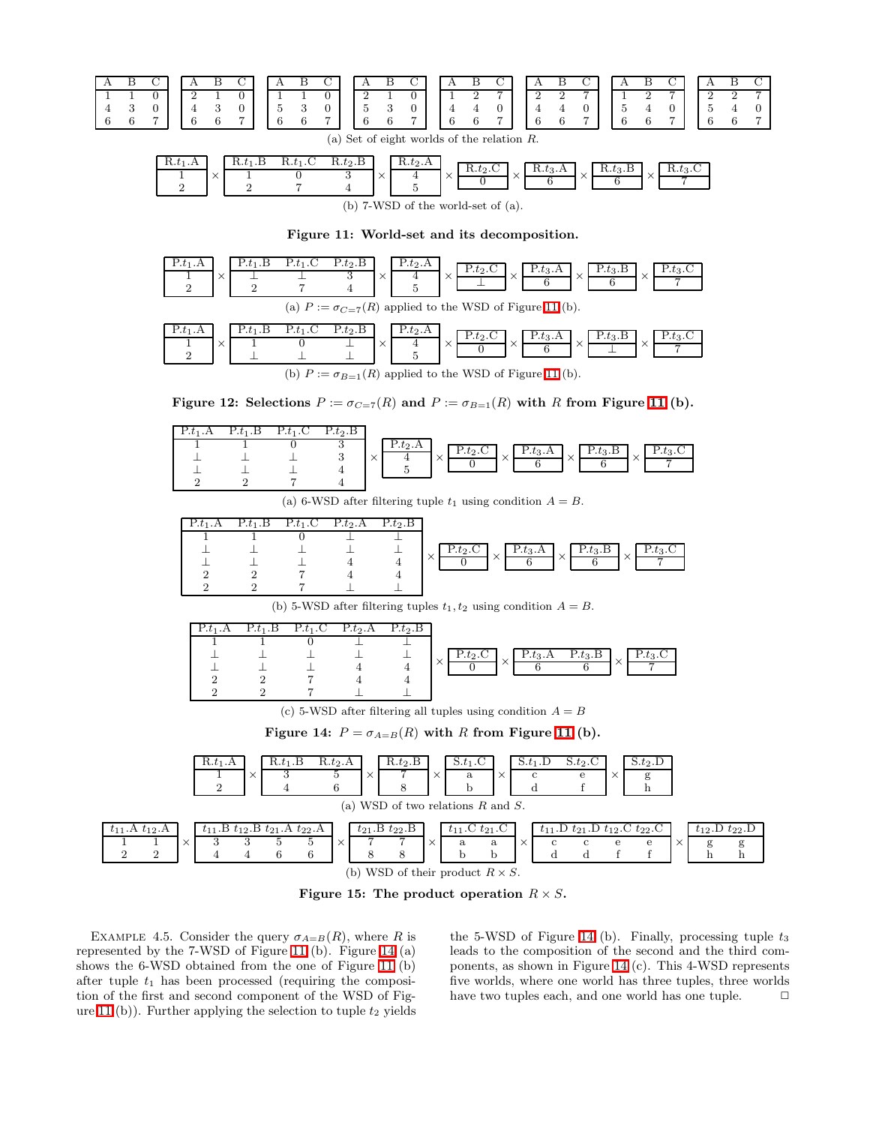

| $10.6$ ]. $\Lambda$                     |  | 16. <i>6</i>   .D | $+$<br>$10.01 \cdot C$ | $R.t_2.B$ |  | $R.t_2.A$ |  | R.t.2.C |  | R.t3.A |  | $\mathbf{u}.t_3.\mathbf{B}$ |  | к ғо<br>10.63.0 |
|-----------------------------------------|--|-------------------|------------------------|-----------|--|-----------|--|---------|--|--------|--|-----------------------------|--|-----------------|
| (b) $7-WSD$ of the world-set of $(a)$ . |  |                   |                        |           |  |           |  |         |  |        |  |                             |  |                 |

<span id="page-7-0"></span>Figure 11: World-set and its decomposition.



<span id="page-7-1"></span>Figure 12: Selections  $P := \sigma_{C=\mathcal{T}}(R)$  and  $P := \sigma_{B=1}(R)$  with R from Figure [11](#page-7-0) (b).

| 1.01.11 | .ь<br>$\cdot$ $\cdot$ | $\perp$ . $\cup$<br>$\cdot$ $\circ$ | $P.t_2.B$ |                                                                   |        |  |
|---------|-----------------------|-------------------------------------|-----------|-------------------------------------------------------------------|--------|--|
|         |                       |                                     |           | $F.t_2.A$<br>$f_2$ R<br>$\therefore t_2$ .<br>$P.t_3.A$<br>1.03.1 |        |  |
|         |                       |                                     |           | $\sim$<br>$\times$<br>$\curvearrowright$                          | $\sim$ |  |
|         |                       |                                     |           |                                                                   |        |  |
|         |                       |                                     |           |                                                                   |        |  |

(a) 6-WSD after filtering tuple  $t_1$  using condition  $A = B$ .

| $P_{t_1.A}$ | .В<br>$\cdot$ $\cdot$ | $P_{t_1}$ .C | $P.t_2.A$ | $P.t_2.B$ |        |                                  |          |           |          |           |              |            |
|-------------|-----------------------|--------------|-----------|-----------|--------|----------------------------------|----------|-----------|----------|-----------|--------------|------------|
|             |                       |              |           |           |        |                                  |          |           |          |           |              |            |
|             |                       |              |           |           |        | $\therefore$ t <sub>2</sub> .C + |          | $P.t_3.A$ |          | $P.t_3.B$ | $\checkmark$ | ⊥ - ഗ്രം - |
|             |                       |              |           |           | $\sim$ |                                  | $\times$ |           | $\times$ |           | ⌒            |            |
|             |                       |              |           |           |        |                                  |          |           |          |           |              |            |
|             |                       |              |           |           |        |                                  |          |           |          |           |              |            |

(b) 5-WSD after filtering tuples  $t_1, t_2$  using condition  $A = B$ .

| $P.t_1.A$ | $P.t_1.B$ | $P.t_1.C$ | $P.t_2.A$ | $\overline{P_t}$ .B |                          |           |           |          |
|-----------|-----------|-----------|-----------|---------------------|--------------------------|-----------|-----------|----------|
|           |           |           |           |                     |                          |           |           |          |
|           |           |           |           |                     | F.t2.                    | $P.t_3.A$ | $P.t_3.B$ |          |
|           |           |           |           |                     | $\times$<br>$\mathbf{x}$ |           |           | $\times$ |
|           |           |           |           |                     |                          |           |           |          |
|           |           |           |           |                     |                          |           |           |          |

(c) 5-WSD after filtering all tuples using condition  $A = B$ 

<span id="page-7-2"></span>Figure 14:  $P = \sigma_{A=B}(R)$  with R from Figure [11](#page-7-0) (b).



<span id="page-7-3"></span>Figure 15: The product operation  $R \times S$ .

EXAMPLE 4.5. Consider the query  $\sigma_{A=B}(R)$ , where R is represented by the 7-WSD of Figure [11](#page-7-0) (b). Figure [14](#page-7-2) (a) shows the 6-WSD obtained from the one of Figure [11](#page-7-0) (b) after tuple  $t_1$  has been processed (requiring the composition of the first and second component of the WSD of Fig-ure [11](#page-7-0) (b)). Further applying the selection to tuple  $t_2$  yields

the 5-WSD of Figure [14](#page-7-2) (b). Finally, processing tuple  $t_3$ leads to the composition of the second and the third components, as shown in Figure [14](#page-7-2) (c). This 4-WSD represents five worlds, where one world has three tuples, three worlds have two tuples each, and one world has one tuple.  $\Box$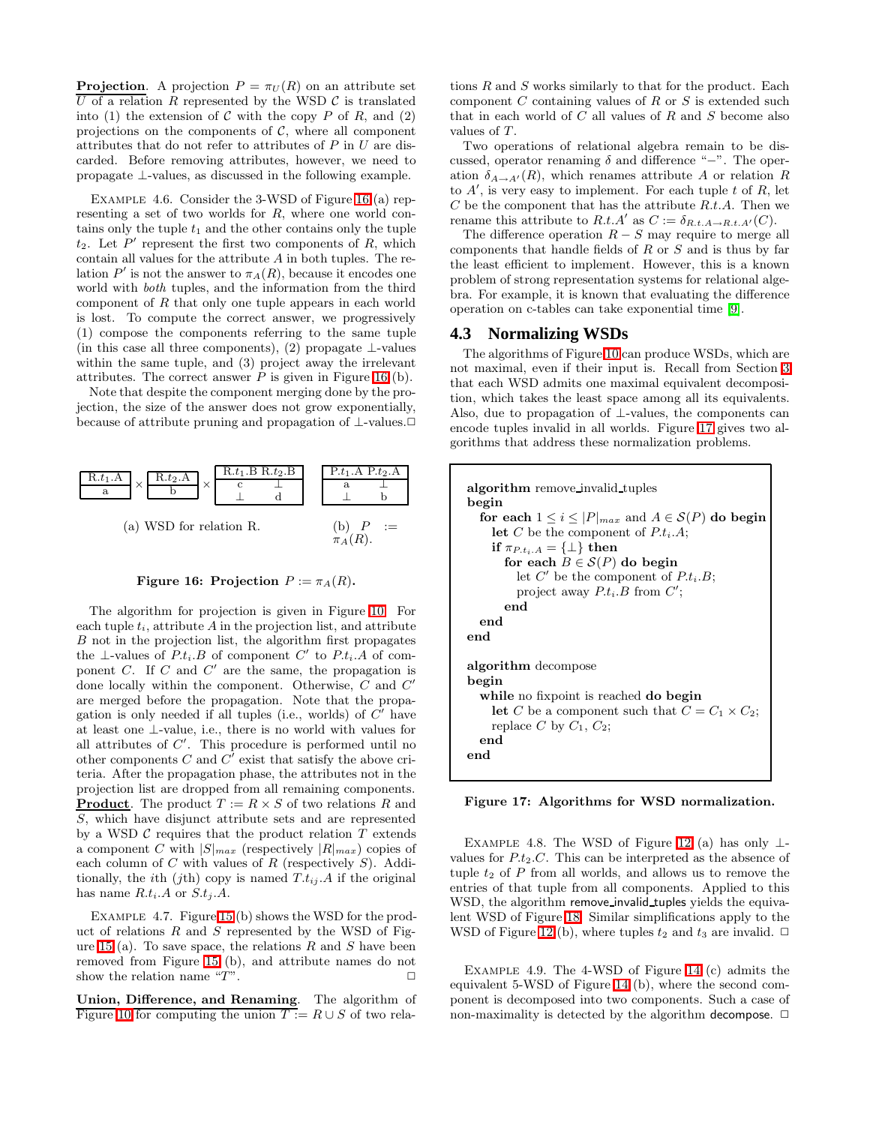**Projection.** A projection  $P = \pi_U(R)$  on an attribute set U of a relation R represented by the WSD  $\mathcal C$  is translated into (1) the extension of C with the copy P of R, and (2) projections on the components of  $C$ , where all component attributes that do not refer to attributes of P in U are discarded. Before removing attributes, however, we need to propagate ⊥-values, as discussed in the following example.

EXAMPLE 4.6. Consider the 3-WSD of Figure [16](#page-8-0) (a) representing a set of two worlds for R, where one world contains only the tuple  $t_1$  and the other contains only the tuple  $t_2$ . Let  $P'$  represent the first two components of  $R$ , which contain all values for the attribute  $A$  in both tuples. The relation  $P'$  is not the answer to  $\pi_A(R)$ , because it encodes one world with both tuples, and the information from the third component of  $R$  that only one tuple appears in each world is lost. To compute the correct answer, we progressively (1) compose the components referring to the same tuple (in this case all three components), (2) propagate  $\perp$ -values within the same tuple, and (3) project away the irrelevant attributes. The correct answer  $P$  is given in Figure [16](#page-8-0) (b).

Note that despite the component merging done by the projection, the size of the answer does not grow exponentially, because of attribute pruning and propagation of ⊥-values.✷



<span id="page-8-0"></span>Figure 16: Projection  $P := \pi_A(R)$ .

The algorithm for projection is given in Figure [10.](#page-5-0) For each tuple  $t_i$ , attribute  $A$  in the projection list, and attribute B not in the projection list, the algorithm first propagates the ⊥-values of  $P.t_i.B$  of component  $C'$  to  $P.t_i.A$  of component  $C$ . If  $C$  and  $C'$  are the same, the propagation is done locally within the component. Otherwise, C and C' are merged before the propagation. Note that the propagation is only needed if all tuples (i.e., worlds) of  $C'$  have at least one ⊥-value, i.e., there is no world with values for all attributes of  $C'$ . This procedure is performed until no other components  $C$  and  $C'$  exist that satisfy the above criteria. After the propagation phase, the attributes not in the projection list are dropped from all remaining components. **Product**. The product  $T := R \times S$  of two relations R and S, which have disjunct attribute sets and are represented by a WSD  $C$  requires that the product relation  $T$  extends a component C with  $|S|_{max}$  (respectively  $|R|_{max}$ ) copies of each column of  $C$  with values of  $R$  (respectively  $S$ ). Additionally, the *i*th (*jth*) copy is named  $T.t_{i,j}$ . A if the original has name  $R.t_i.A$  or  $S.t_i.A$ .

EXAMPLE 4.7. Figure [15](#page-7-3) (b) shows the WSD for the product of relations  $R$  and  $S$  represented by the WSD of Fig-ure [15](#page-7-3) (a). To save space, the relations  $R$  and  $S$  have been removed from Figure [15](#page-7-3) (b), and attribute names do not show the relation name " $T$ ".

Union, Difference, and Renaming. The algorithm of Figure [10](#page-5-0) for computing the union  $T := R \cup S$  of two relations R and S works similarly to that for the product. Each component  $C$  containing values of  $R$  or  $S$  is extended such that in each world of  $C$  all values of  $R$  and  $S$  become also values of T.

Two operations of relational algebra remain to be discussed, operator renaming  $\delta$  and difference "−". The operation  $\delta_{A\to A'}(R)$ , which renames attribute A or relation R to  $A'$ , is very easy to implement. For each tuple t of  $R$ , let  $C$  be the component that has the attribute  $R.t.A.$  Then we rename this attribute to  $R.t.A'$  as  $C := \delta_{R.t.A \to R.t.A'}(C)$ .

The difference operation  $R - S$  may require to merge all components that handle fields of R or S and is thus by far the least efficient to implement. However, this is a known problem of strong representation systems for relational algebra. For example, it is known that evaluating the difference operation on c-tables can take exponential time [\[9\]](#page-14-3).

# **4.3 Normalizing WSDs**

The algorithms of Figure [10](#page-5-0) can produce WSDs, which are not maximal, even if their input is. Recall from Section [3](#page-3-0) that each WSD admits one maximal equivalent decomposition, which takes the least space among all its equivalents. Also, due to propagation of  $\bot$ -values, the components can encode tuples invalid in all worlds. Figure [17](#page-8-1) gives two algorithms that address these normalization problems.

```
algorithm remove invalid tuples
begin
  for each 1 \leq i \leq |P|_{max} and A \in \mathcal{S}(P) do begin
    let C be the component of P.t_i.A;if \pi_{P.t_i.A} = {\perp} then
      for each B \in \mathcal{S}(P) do begin
         let C' be the component of P.t_i.B;project away P.t_i.B from C';
      end
  end
end
algorithm decompose
begin
  while no fixpoint is reached do begin
    let C be a component such that C = C_1 \times C_2;
    replace C by C_1, C_2;
  end
end
```
<span id="page-8-1"></span>Figure 17: Algorithms for WSD normalization.

EXAMPLE 4.8. The WSD of Figure [12](#page-7-1) (a) has only  $\perp$ values for  $P.t_2.C$ . This can be interpreted as the absence of tuple  $t_2$  of  $P$  from all worlds, and allows us to remove the entries of that tuple from all components. Applied to this WSD, the algorithm remove invalid tuples yields the equivalent WSD of Figure [18.](#page-9-2) Similar simplifications apply to the WSD of Figure [12](#page-7-1) (b), where tuples  $t_2$  and  $t_3$  are invalid.  $\Box$ 

Example 4.9. The 4-WSD of Figure [14](#page-7-2) (c) admits the equivalent 5-WSD of Figure [14](#page-7-2) (b), where the second component is decomposed into two components. Such a case of non-maximality is detected by the algorithm decompose.  $\Box$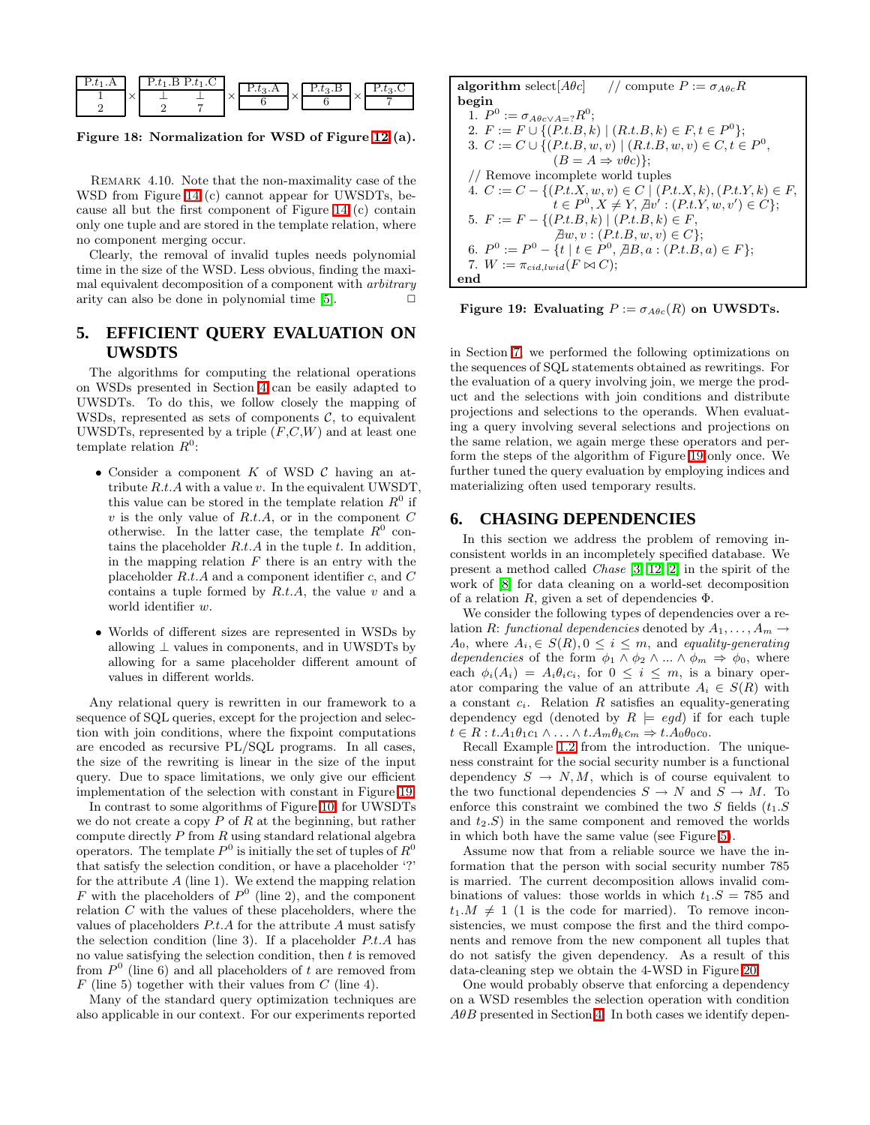

<span id="page-9-2"></span>Figure 18: Normalization for WSD of Figure [12](#page-7-1) (a).

REMARK 4.10. Note that the non-maximality case of the WSD from Figure [14](#page-7-2) (c) cannot appear for UWSDTs, because all but the first component of Figure [14](#page-7-2) (c) contain only one tuple and are stored in the template relation, where no component merging occur.

Clearly, the removal of invalid tuples needs polynomial time in the size of the WSD. Less obvious, finding the maximal equivalent decomposition of a component with arbitrary arity can also be done in polynomial time  $[5]$ .  $\Box$ 

# <span id="page-9-0"></span>**5. EFFICIENT QUERY EVALUATION ON UWSDTS**

The algorithms for computing the relational operations on WSDs presented in Section [4](#page-4-0) can be easily adapted to UWSDTs. To do this, we follow closely the mapping of WSDs, represented as sets of components  $\mathcal{C}$ , to equivalent UWSDTs, represented by a triple  $(F, C, W)$  and at least one template relation  $R^0$ :

- Consider a component  $K$  of WSD  $\mathcal C$  having an attribute  $R.t. A$  with a value v. In the equivalent UWSDT, this value can be stored in the template relation  $R^0$  if  $v$  is the only value of  $R.t.A$ , or in the component  $C$ otherwise. In the latter case, the template  $R^0$  contains the placeholder  $R.t.A$  in the tuple  $t$ . In addition, in the mapping relation  $F$  there is an entry with the placeholder  $R.t. A$  and a component identifier  $c$ , and  $C$ contains a tuple formed by  $R.t.A$ , the value  $v$  and a world identifier w.
- Worlds of different sizes are represented in WSDs by allowing  $\perp$  values in components, and in UWSDTs by allowing for a same placeholder different amount of values in different worlds.

Any relational query is rewritten in our framework to a sequence of SQL queries, except for the projection and selection with join conditions, where the fixpoint computations are encoded as recursive PL/SQL programs. In all cases, the size of the rewriting is linear in the size of the input query. Due to space limitations, we only give our efficient implementation of the selection with constant in Figure [19.](#page-9-3)

In contrast to some algorithms of Figure [10,](#page-5-0) for UWSDTs we do not create a copy  $P$  of  $R$  at the beginning, but rather compute directly  $P$  from  $R$  using standard relational algebra operators. The template  $P^0$  is initially the set of tuples of  $R^0$ that satisfy the selection condition, or have a placeholder '?' for the attribute  $A$  (line 1). We extend the mapping relation F with the placeholders of  $P^0$  (line 2), and the component relation C with the values of these placeholders, where the values of placeholders P.t.A for the attribute A must satisfy the selection condition (line 3). If a placeholder  $P.t.A$  has no value satisfying the selection condition, then  $t$  is removed from  $P^0$  (line 6) and all placeholders of t are removed from  $F$  (line 5) together with their values from  $C$  (line 4).

Many of the standard query optimization techniques are also applicable in our context. For our experiments reported

**algorithm** select[*Aθc*] // compute 
$$
P := \sigma_{A\theta c}R
$$
  
\n**begin**  
\n**begin**  
\n1.  $P^0 := \sigma_{A\theta c \lor A} = ?R^0;$   
\n2.  $F := F \cup \{(P.t.B, k) | (R.t.B, k) \in F, t \in P^0\};$   
\n3.  $C := C \cup \{(P.t.B, w, v) | (R.t.B, w, v) \in C, t \in P^0,$   
\n $(B = A \Rightarrow v\theta c)\};$   
\n// Remove incomplete world tuples  
\n4.  $C := C - \{(P.t.X, w, v) \in C | (P.t.X, k), (P.t.Y, k) \in F,$   
\n $t \in P^0, X \neq Y, \exists v' : (P.t.Y, w, v') \in C\};$   
\n5.  $F := F - \{(P.t.B, k) | (P.t.B, k) \in F,$   
\n $\exists w, v : (P.t.B, w, v) \in C\};$   
\n6.  $P^0 := P^0 - \{t | t \in P^0, \exists B, a : (P.t.B, a) \in F\};$   
\n7.  $W := \pi_{cid, lwid}(F \bowtie C);$   
\n**end**

<span id="page-9-3"></span>Figure 19: Evaluating  $P := \sigma_{A\theta c}(R)$  on UWSDTs.

in Section [7,](#page-10-0) we performed the following optimizations on the sequences of SQL statements obtained as rewritings. For the evaluation of a query involving join, we merge the product and the selections with join conditions and distribute projections and selections to the operands. When evaluating a query involving several selections and projections on the same relation, we again merge these operators and perform the steps of the algorithm of Figure [19](#page-9-3) only once. We further tuned the query evaluation by employing indices and materializing often used temporary results.

## <span id="page-9-1"></span>**6. CHASING DEPENDENCIES**

In this section we address the problem of removing inconsistent worlds in an incompletely specified database. We present a method called Chase [\[3,](#page-14-5) [12,](#page-14-4) [2\]](#page-14-9) in the spirit of the work of [\[8\]](#page-14-6) for data cleaning on a world-set decomposition of a relation  $R$ , given a set of dependencies  $\Phi$ .

We consider the following types of dependencies over a relation R: functional dependencies denoted by  $A_1, \ldots, A_m \rightarrow$  $A_0$ , where  $A_i \in S(R)$ ,  $0 \leq i \leq m$ , and equality-generating dependencies of the form  $\phi_1 \wedge \phi_2 \wedge ... \wedge \phi_m \Rightarrow \phi_0$ , where each  $\phi_i(A_i) = A_i \theta_i c_i$ , for  $0 \leq i \leq m$ , is a binary operator comparing the value of an attribute  $A_i \in S(R)$  with a constant  $c_i$ . Relation R satisfies an equality-generating dependency egd (denoted by  $R \models \text{egd}$ ) if for each tuple  $t \in R : t.A_1\theta_1c_1 \wedge \ldots \wedge t.A_m\theta_kc_m \Rightarrow t.A_0\theta_0c_0.$ 

Recall Example [1.2](#page-1-6) from the introduction. The uniqueness constraint for the social security number is a functional dependency  $S \to N, M$ , which is of course equivalent to the two functional dependencies  $S \to N$  and  $S \to M$ . To enforce this constraint we combined the two S fields  $(t_1, S)$ and  $t_2.S$  in the same component and removed the worlds in which both have the same value (see Figure [5\)](#page-1-3).

Assume now that from a reliable source we have the information that the person with social security number 785 is married. The current decomposition allows invalid combinations of values: those worlds in which  $t_1.S = 785$  and  $t_1.M \neq 1$  (1 is the code for married). To remove inconsistencies, we must compose the first and the third components and remove from the new component all tuples that do not satisfy the given dependency. As a result of this data-cleaning step we obtain the 4-WSD in Figure [20.](#page-10-1)

One would probably observe that enforcing a dependency on a WSD resembles the selection operation with condition  $A\theta B$  presented in Section [4.](#page-4-0) In both cases we identify depen-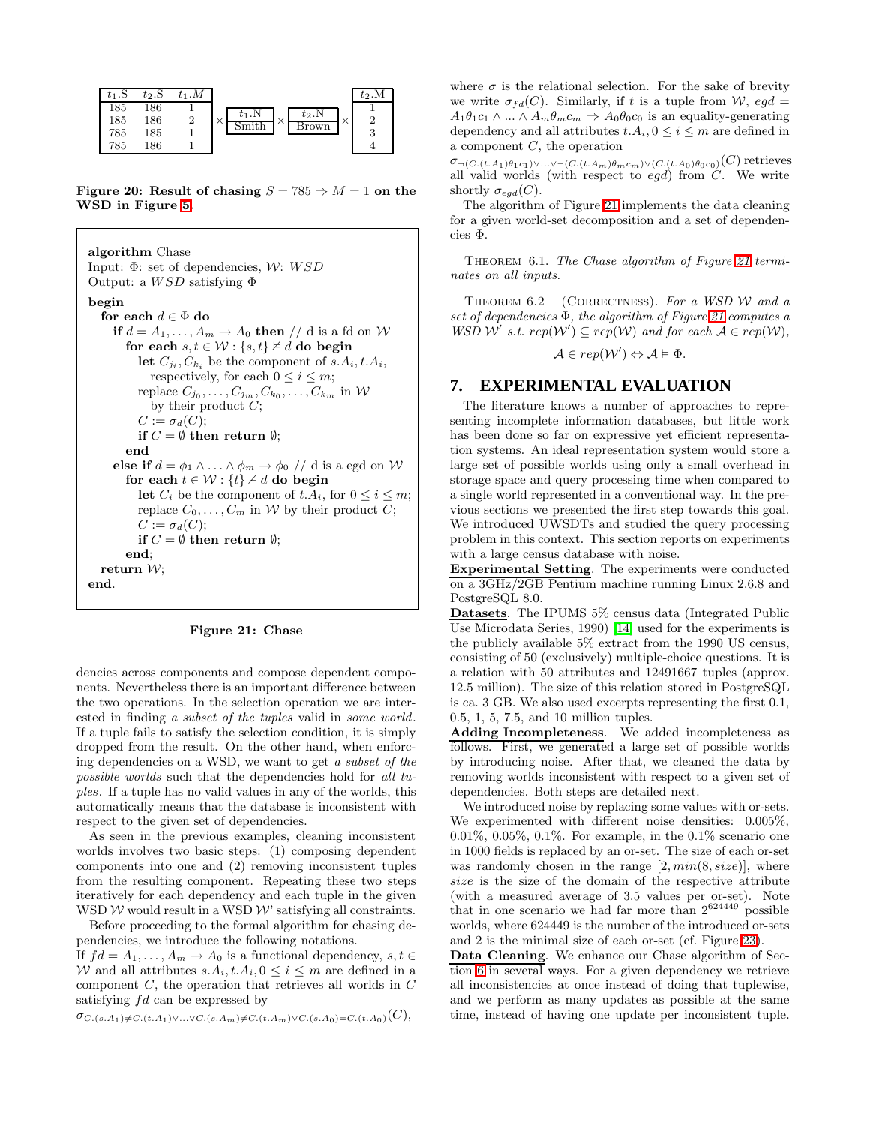

<span id="page-10-1"></span>Figure 20: Result of chasing  $S = 785 \Rightarrow M = 1$  on the WSD in Figure [5.](#page-1-3)

```
algorithm Chase
Input: \Phi: set of dependencies, W: WSDOutput: a WSD satisfying \Phibegin
  for each d \in \Phi do
     if d = A_1, \ldots, A_m \rightarrow A_0 then // d is a fd on W
        for each s, t \in \mathcal{W}: \{s, t\} \not\vDash d do begin
            let C_{j_i}, C_{k_i} be the component of s.A_i, t.A_i,
              respectively, for each 0 \leq i \leq m;
            replace C_{j_0}, \ldots, C_{j_m}, C_{k_0}, \ldots, C_{k_m} in \mathcal Wby their product C;
           C := \sigma_d(C);if C = \emptyset then return \emptyset;
        end
     else if d = \phi_1 \wedge \ldots \wedge \phi_m \rightarrow \phi_0 \text{ // } d is a egd on W
        for each t \in \mathcal{W} : \{t\} \not\vDash d do begin
           let C_i be the component of t.A_i, for 0 \le i \le m;
           replace C_0, \ldots, C_m in W by their product C;
           C := \sigma_d(C);if C = \emptyset then return \emptyset;
        end;
   return W;
end.
```
<span id="page-10-2"></span>

| Figure 21: Chase |  |  |
|------------------|--|--|
|------------------|--|--|

dencies across components and compose dependent components. Nevertheless there is an important difference between the two operations. In the selection operation we are interested in finding a subset of the tuples valid in some world. If a tuple fails to satisfy the selection condition, it is simply dropped from the result. On the other hand, when enforcing dependencies on a WSD, we want to get a subset of the possible worlds such that the dependencies hold for all tuples. If a tuple has no valid values in any of the worlds, this automatically means that the database is inconsistent with respect to the given set of dependencies.

As seen in the previous examples, cleaning inconsistent worlds involves two basic steps: (1) composing dependent components into one and (2) removing inconsistent tuples from the resulting component. Repeating these two steps iteratively for each dependency and each tuple in the given WSD  $W$  would result in a WSD  $W$  satisfying all constraints.

Before proceeding to the formal algorithm for chasing dependencies, we introduce the following notations.

If  $fd = A_1, \ldots, A_m \rightarrow A_0$  is a functional dependency,  $s, t \in$ W and all attributes  $s.A_i, t.A_i, 0 \leq i \leq m$  are defined in a component  $C$ , the operation that retrieves all worlds in  $C$ satisfying fd can be expressed by

 $\sigma_{C,(s,A_1)\neq C.(t.A_1)\vee...\vee C.(s.A_m)\neq C.(t.A_m)\vee C.(s.A_0)=C.(t.A_0)(C),$ 

where  $\sigma$  is the relational selection. For the sake of brevity we write  $\sigma_{fd}(C)$ . Similarly, if t is a tuple from W, eqd =  $A_1\theta_1c_1 \wedge ... \wedge A_m\theta_mc_m \Rightarrow A_0\theta_0c_0$  is an equality-generating dependency and all attributes  $t.A_i, 0 \leq i \leq m$  are defined in a component C, the operation

 $\sigma_{\neg (C.(t.A_1)\theta_1c_1)\vee...\vee\neg (C.(t.A_m)\theta_mc_m)\vee(C.(t.A_0)\theta_0c_0)}(C)$  retrieves all valid worlds (with respect to  $egd$ ) from  $C$ . We write shortly  $\sigma_{egd}(C)$ .

The algorithm of Figure [21](#page-10-2) implements the data cleaning for a given world-set decomposition and a set of dependencies Φ.

THEOREM 6.1. The Chase algorithm of Figure [21](#page-10-2) terminates on all inputs.

THEOREM  $6.2$  (CORRECTNESS). For a WSD W and a set of dependencies Φ, the algorithm of Figure [21](#page-10-2) computes a WSD W' s.t.  $rep(W') \subseteq rep(W)$  and for each  $A \in rep(W)$ ,

$$
\mathcal{A} \in rep(\mathcal{W}') \Leftrightarrow \mathcal{A} \models \Phi.
$$

# <span id="page-10-0"></span>**7. EXPERIMENTAL EVALUATION**

The literature knows a number of approaches to representing incomplete information databases, but little work has been done so far on expressive yet efficient representation systems. An ideal representation system would store a large set of possible worlds using only a small overhead in storage space and query processing time when compared to a single world represented in a conventional way. In the previous sections we presented the first step towards this goal. We introduced UWSDTs and studied the query processing problem in this context. This section reports on experiments with a large census database with noise.

Experimental Setting. The experiments were conducted on a 3GHz/2GB Pentium machine running Linux 2.6.8 and PostgreSQL 8.0.

Datasets. The IPUMS 5% census data (Integrated Public Use Microdata Series, 1990) [\[14\]](#page-14-12) used for the experiments is the publicly available 5% extract from the 1990 US census, consisting of 50 (exclusively) multiple-choice questions. It is a relation with 50 attributes and 12491667 tuples (approx. 12.5 million). The size of this relation stored in PostgreSQL is ca. 3 GB. We also used excerpts representing the first 0.1, 0.5, 1, 5, 7.5, and 10 million tuples.

Adding Incompleteness. We added incompleteness as follows. First, we generated a large set of possible worlds by introducing noise. After that, we cleaned the data by removing worlds inconsistent with respect to a given set of dependencies. Both steps are detailed next.

We introduced noise by replacing some values with or-sets. We experimented with different noise densities: 0.005%, 0.01%, 0.05%, 0.1%. For example, in the  $0.1\%$  scenario one in 1000 fields is replaced by an or-set. The size of each or-set was randomly chosen in the range  $[2, min(8, size)]$ , where size is the size of the domain of the respective attribute (with a measured average of 3.5 values per or-set). Note that in one scenario we had far more than  $2^{624449}$  possible worlds, where 624449 is the number of the introduced or-sets and 2 is the minimal size of each or-set (cf. Figure [23\)](#page-11-0).

Data Cleaning. We enhance our Chase algorithm of Section [6](#page-9-1) in several ways. For a given dependency we retrieve all inconsistencies at once instead of doing that tuplewise, and we perform as many updates as possible at the same time, instead of having one update per inconsistent tuple.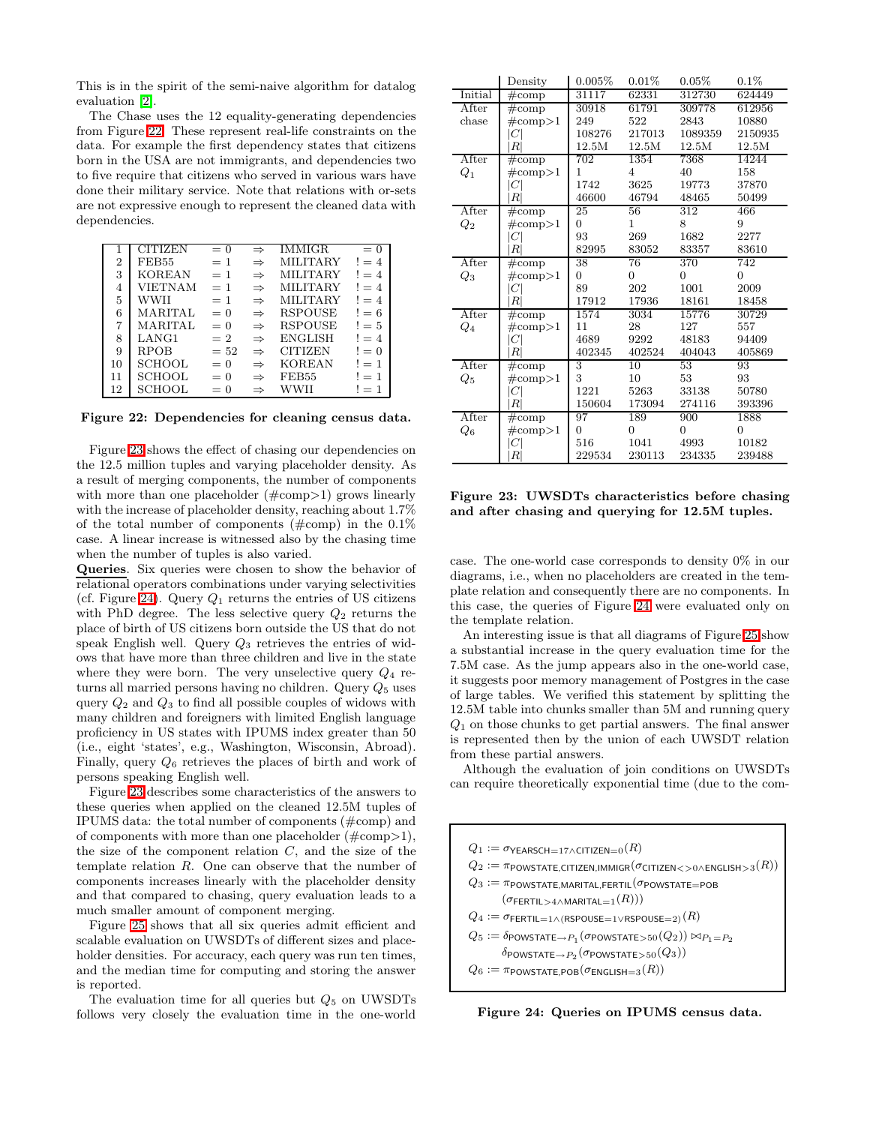This is in the spirit of the semi-naive algorithm for datalog evaluation [\[2\]](#page-14-9).

The Chase uses the 12 equality-generating dependencies from Figure [22.](#page-11-1) These represent real-life constraints on the data. For example the first dependency states that citizens born in the USA are not immigrants, and dependencies two to five require that citizens who served in various wars have done their military service. Note that relations with or-sets are not expressive enough to represent the cleaned data with dependencies.

|                | <b>CITIZEN</b> | $= 0$ | $\Rightarrow$ | <b>IMMIGR</b>   | $= 0$  |
|----------------|----------------|-------|---------------|-----------------|--------|
| $\overline{2}$ | FEB55          | $=1$  | $\Rightarrow$ | <b>MILITARY</b> | $!=4$  |
| 3              | <b>KOREAN</b>  | $=1$  | $\Rightarrow$ | <b>MILITARY</b> | $!= 4$ |
| 4              | VIETNAM        | $= 1$ | $\Rightarrow$ | <b>MILITARY</b> | $!=4$  |
| 5              | WWII           | $=$ 1 | $\Rightarrow$ | <b>MILITARY</b> | $!= 4$ |
| 6              | MARITAL        | $= 0$ | $\Rightarrow$ | <b>RSPOUSE</b>  | $!= 6$ |
| 7              | MARITAL        | $= 0$ | $\Rightarrow$ | <b>RSPOUSE</b>  | $!= 5$ |
| 8              | LANG1          | $= 2$ | $\Rightarrow$ | <b>ENGLISH</b>  | $!=4$  |
| 9              | <b>RPOB</b>    | $=52$ | $\Rightarrow$ | <b>CITIZEN</b>  | $!=0$  |
| 10             | <b>SCHOOL</b>  | $= 0$ | $\Rightarrow$ | <b>KOREAN</b>   | $!=1$  |
| 11             | <b>SCHOOL</b>  | $= 0$ | $\Rightarrow$ | FEB55           | $!=1$  |
| 12             | <b>SCHOOL</b>  | $= 0$ | $\Rightarrow$ | WWII            | $!=1$  |

<span id="page-11-1"></span>Figure 22: Dependencies for cleaning census data.

Figure [23](#page-11-0) shows the effect of chasing our dependencies on the 12.5 million tuples and varying placeholder density. As a result of merging components, the number of components with more than one placeholder  $(\text{\#comp>1})$  grows linearly with the increase of placeholder density, reaching about 1.7% of the total number of components  $(\text{\#comp})$  in the 0.1% case. A linear increase is witnessed also by the chasing time when the number of tuples is also varied.

Queries. Six queries were chosen to show the behavior of relational operators combinations under varying selectivities (cf. Figure [24\)](#page-11-2). Query  $Q_1$  returns the entries of US citizens with PhD degree. The less selective query  $Q_2$  returns the place of birth of US citizens born outside the US that do not speak English well. Query  $Q_3$  retrieves the entries of widows that have more than three children and live in the state where they were born. The very unselective query  $Q_4$  returns all married persons having no children. Query  $Q_5$  uses query  $Q_2$  and  $Q_3$  to find all possible couples of widows with many children and foreigners with limited English language proficiency in US states with IPUMS index greater than 50 (i.e., eight 'states', e.g., Washington, Wisconsin, Abroad). Finally, query  $Q_6$  retrieves the places of birth and work of persons speaking English well.

Figure [23](#page-11-0) describes some characteristics of the answers to these queries when applied on the cleaned 12.5M tuples of IPUMS data: the total number of components (#comp) and of components with more than one placeholder  $(\text{\#comp}>1)$ , the size of the component relation  $C$ , and the size of the template relation R. One can observe that the number of components increases linearly with the placeholder density and that compared to chasing, query evaluation leads to a much smaller amount of component merging.

Figure [25](#page-12-1) shows that all six queries admit efficient and scalable evaluation on UWSDTs of different sizes and placeholder densities. For accuracy, each query was run ten times, and the median time for computing and storing the answer is reported.

The evaluation time for all queries but  $Q_5$  on UWSDTs follows very closely the evaluation time in the one-world

|                    | Density              | 0.005%         | 0.01%           | $0.05\%$        | $0.1\%$        |
|--------------------|----------------------|----------------|-----------------|-----------------|----------------|
| Initial            | $\overline{\#}$ comp | 31117          | 62331           | 312730          | 624449         |
| After              | $\#\text{comp}$      | 30918          | 61791           | 309778          | 612956         |
| chase              | $\#\text{comp}>1$    | 249            | 522             | 2843            | 10880          |
|                    | $C \vert$            | 108276         | 217013          | 1089359         | 2150935        |
|                    | R <sup>1</sup>       | 12.5M          | 12.5M           | 12.5M           | 12.5M          |
| After              | $\#\text{comp}$      | 702            | 1354            | 7368            | 14244          |
| $Q_1$              | $\#\text{comp}>1$    | $\mathbf{1}$   | $\overline{4}$  | 40              | 158            |
|                    | C                    | 1742           | 3625            | 19773           | 37870          |
|                    | R <sup>1</sup>       | 46600          | 46794           | 48465           | 50499          |
| After              | $\#\text{comp}$      | 25             | 56              | 312             | 466            |
| $Q_2$              | $\#\text{comp}>1$    | $\overline{0}$ | $\mathbf{1}$    | 8               | 9              |
|                    | $C \vert$            | 93             | 269             | 1682            | 2277           |
|                    | R <sup>1</sup>       | 82995          | 83052           | 83357           | 83610          |
| After              | $\#\text{comp}$      | 38             | 76              | 370             | 742            |
| $Q_3$              | $\#\text{comp}>1$    | $\Omega$       | $\overline{0}$  | $\Omega$        | $\overline{0}$ |
|                    | C                    | 89             | 202             | 1001            | 2009           |
|                    | R <sup>1</sup>       | 17912          | 17936           | 18161           | 18458          |
| After              | $\#\text{comp}$      | 1574           | 3034            | 15776           | 30729          |
| $Q_4$              | $\#\text{comp}>1$    | 11             | 28              | 127             | 557            |
|                    | C                    | 4689           | 9292            | 48183           | 94409          |
|                    | R <sup>1</sup>       | 402345         | 402524          | 404043          | 405869         |
| After              | $\#\text{comp}$      | 3              | $\overline{10}$ | $\overline{53}$ | 93             |
| $Q_5$              | $\#\text{comp}>1$    | 3              | 10              | 53              | 93             |
|                    | C                    | 1221           | 5263            | 33138           | 50780          |
|                    | R <sup>1</sup>       | 150604         | 173094          | 274116          | 393396         |
| After              | $\#\text{comp}$      | 97             | 189             | 900             | 1888           |
| $\scriptstyle Q_6$ | $\#\text{comp}>1$    | $\Omega$       | $\Omega$        | $\Omega$        | $\overline{0}$ |
|                    | C                    | 516            | 1041            | 4993            | 10182          |
|                    | R                    | 229534         | 230113          | 234335          | 239488         |

<span id="page-11-0"></span>Figure 23: UWSDTs characteristics before chasing and after chasing and querying for 12.5M tuples.

case. The one-world case corresponds to density 0% in our diagrams, i.e., when no placeholders are created in the template relation and consequently there are no components. In this case, the queries of Figure [24](#page-11-2) were evaluated only on the template relation.

An interesting issue is that all diagrams of Figure [25](#page-12-1) show a substantial increase in the query evaluation time for the 7.5M case. As the jump appears also in the one-world case, it suggests poor memory management of Postgres in the case of large tables. We verified this statement by splitting the 12.5M table into chunks smaller than 5M and running query  $Q_1$  on those chunks to get partial answers. The final answer is represented then by the union of each UWSDT relation from these partial answers.

Although the evaluation of join conditions on UWSDTs can require theoretically exponential time (due to the com-

 $Q_1 := \sigma$ γearsch=17∧citizen=0 $(R)$  $Q_2 := \pi$ powstate,Citizen,Immigr $(\sigma$ Citizen ${<}$   $>$ 0 $\land$ english ${>}$ 3 $(R)$ )  $Q_3 := \pi$ powstate,marital,fertil $(\sigma$ powstate=pob  $(\sigma_{\sf FERTIL>4\wedge MARKITAL=1}(R)))$  $Q_4 := \sigma_{\mathsf{FERTIL}=1} \land (\mathsf{RSPOUSE}=1} \lor \mathsf{RSPOUSE}=2) (R)$  $Q_5 := \delta$ powstate $\rightarrow_{P_1} (\sigma$ powstate $>$ 50 $(Q_2))\bowtie_{P_1=P_2}$  $\delta$ powstate $\rightarrow$   $P_2$   $(\sigma$ powstate $>$   $\scriptstyle 50$   $(Q_3))$  $Q_6 := \pi$ powstate,pob $(\sigma_{\mathsf{ENGLISH}=3}(R))$ 

<span id="page-11-2"></span>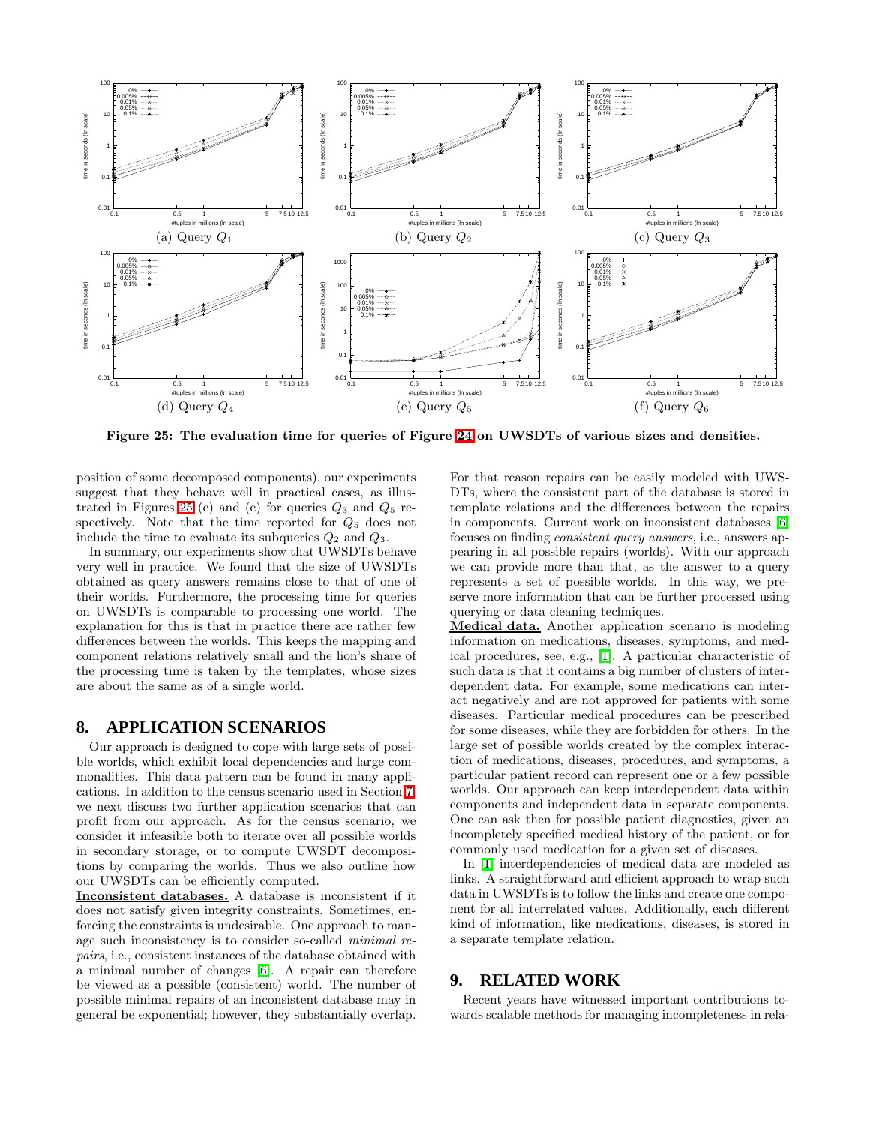

<span id="page-12-1"></span>Figure 25: The evaluation time for queries of Figure [24](#page-11-2) on UWSDTs of various sizes and densities.

position of some decomposed components), our experiments suggest that they behave well in practical cases, as illus-trated in Figures [25](#page-12-1) (c) and (e) for queries  $Q_3$  and  $Q_5$  respectively. Note that the time reported for  $Q_5$  does not include the time to evaluate its subqueries  $Q_2$  and  $Q_3$ .

In summary, our experiments show that UWSDTs behave very well in practice. We found that the size of UWSDTs obtained as query answers remains close to that of one of their worlds. Furthermore, the processing time for queries on UWSDTs is comparable to processing one world. The explanation for this is that in practice there are rather few differences between the worlds. This keeps the mapping and component relations relatively small and the lion's share of the processing time is taken by the templates, whose sizes are about the same as of a single world.

# <span id="page-12-0"></span>**8. APPLICATION SCENARIOS**

Our approach is designed to cope with large sets of possible worlds, which exhibit local dependencies and large commonalities. This data pattern can be found in many applications. In addition to the census scenario used in Section [7,](#page-10-0) we next discuss two further application scenarios that can profit from our approach. As for the census scenario, we consider it infeasible both to iterate over all possible worlds in secondary storage, or to compute UWSDT decompositions by comparing the worlds. Thus we also outline how our UWSDTs can be efficiently computed.

Inconsistent databases. A database is inconsistent if it does not satisfy given integrity constraints. Sometimes, enforcing the constraints is undesirable. One approach to manage such inconsistency is to consider so-called minimal repairs, i.e., consistent instances of the database obtained with a minimal number of changes [\[6\]](#page-14-7). A repair can therefore be viewed as a possible (consistent) world. The number of possible minimal repairs of an inconsistent database may in general be exponential; however, they substantially overlap. For that reason repairs can be easily modeled with UWS-DTs, where the consistent part of the database is stored in template relations and the differences between the repairs in components. Current work on inconsistent databases [\[6\]](#page-14-7) focuses on finding consistent query answers, i.e., answers appearing in all possible repairs (worlds). With our approach we can provide more than that, as the answer to a query represents a set of possible worlds. In this way, we preserve more information that can be further processed using querying or data cleaning techniques.

Medical data. Another application scenario is modeling information on medications, diseases, symptoms, and medical procedures, see, e.g., [\[1\]](#page-14-13). A particular characteristic of such data is that it contains a big number of clusters of interdependent data. For example, some medications can interact negatively and are not approved for patients with some diseases. Particular medical procedures can be prescribed for some diseases, while they are forbidden for others. In the large set of possible worlds created by the complex interaction of medications, diseases, procedures, and symptoms, a particular patient record can represent one or a few possible worlds. Our approach can keep interdependent data within components and independent data in separate components. One can ask then for possible patient diagnostics, given an incompletely specified medical history of the patient, or for commonly used medication for a given set of diseases.

In [\[1\]](#page-14-13) interdependencies of medical data are modeled as links. A straightforward and efficient approach to wrap such data in UWSDTs is to follow the links and create one component for all interrelated values. Additionally, each different kind of information, like medications, diseases, is stored in a separate template relation.

# **9. RELATED WORK**

Recent years have witnessed important contributions towards scalable methods for managing incompleteness in rela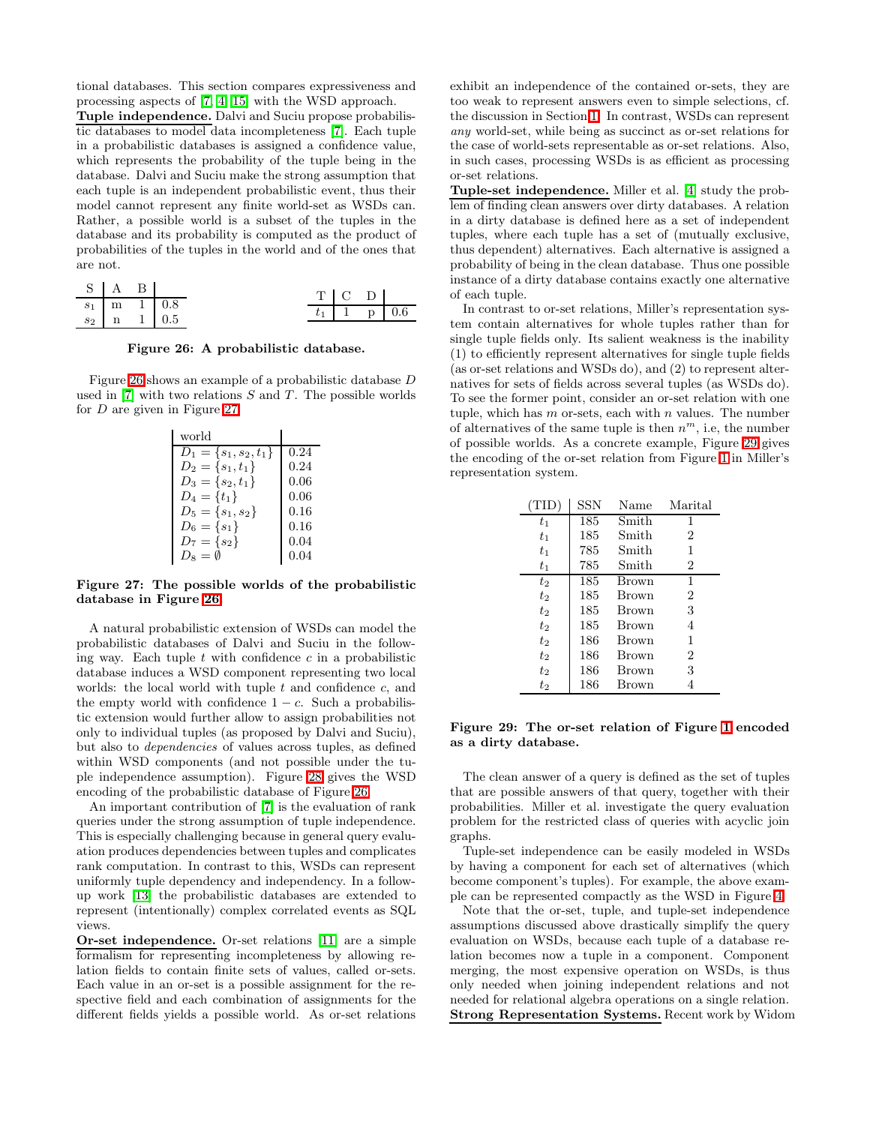tional databases. This section compares expressiveness and processing aspects of [\[7,](#page-14-14) [4,](#page-14-15) [15\]](#page-14-16) with the WSD approach.

Tuple independence. Dalvi and Suciu propose probabilistic databases to model data incompleteness [\[7\]](#page-14-14). Each tuple in a probabilistic databases is assigned a confidence value, which represents the probability of the tuple being in the database. Dalvi and Suciu make the strong assumption that each tuple is an independent probabilistic event, thus their model cannot represent any finite world-set as WSDs can. Rather, a possible world is a subset of the tuples in the database and its probability is computed as the product of probabilities of the tuples in the world and of the ones that are not.

| S   A B |  |               |  | $T \perp C \perp D \perp$ |                     |
|---------|--|---------------|--|---------------------------|---------------------|
|         |  | $s_1$ m 1 0.8 |  |                           | $t_1$   1   p   0.6 |
|         |  | $s_2$ n 1 0.5 |  |                           |                     |

<span id="page-13-0"></span>Figure 26: A probabilistic database.

Figure [26](#page-13-0) shows an example of a probabilistic database D used in  $[7]$  with two relations S and T. The possible worlds for D are given in Figure [27.](#page-13-1)

| world                                |      |
|--------------------------------------|------|
| $\overline{D_1} = \{s_1, s_2, t_1\}$ | 0.24 |
| $D_2 = \{s_1, t_1\}$                 | 0.24 |
| $D_3 = \{s_2, t_1\}$                 | 0.06 |
| $D_4 = \{t_1\}$                      | 0.06 |
| $D_5 = \{s_1, s_2\}$                 | 0.16 |
| $D_6 = \{s_1\}$                      | 0.16 |
| $D_7 = \{s_2\}$                      | 0.04 |
| $D_8 = \emptyset$                    | 0.04 |

<span id="page-13-1"></span>Figure 27: The possible worlds of the probabilistic database in Figure [26.](#page-13-0)

A natural probabilistic extension of WSDs can model the probabilistic databases of Dalvi and Suciu in the following way. Each tuple  $t$  with confidence  $c$  in a probabilistic database induces a WSD component representing two local worlds: the local world with tuple  $t$  and confidence  $c$ , and the empty world with confidence  $1 - c$ . Such a probabilistic extension would further allow to assign probabilities not only to individual tuples (as proposed by Dalvi and Suciu), but also to dependencies of values across tuples, as defined within WSD components (and not possible under the tuple independence assumption). Figure [28](#page-14-17) gives the WSD encoding of the probabilistic database of Figure [26.](#page-13-0)

An important contribution of [\[7\]](#page-14-14) is the evaluation of rank queries under the strong assumption of tuple independence. This is especially challenging because in general query evaluation produces dependencies between tuples and complicates rank computation. In contrast to this, WSDs can represent uniformly tuple dependency and independency. In a followup work [\[13\]](#page-14-18) the probabilistic databases are extended to represent (intentionally) complex correlated events as SQL views.

Or-set independence. Or-set relations [\[11\]](#page-14-1) are a simple formalism for representing incompleteness by allowing relation fields to contain finite sets of values, called or-sets. Each value in an or-set is a possible assignment for the respective field and each combination of assignments for the different fields yields a possible world. As or-set relations

exhibit an independence of the contained or-sets, they are too weak to represent answers even to simple selections, cf. the discussion in Section [1.](#page-0-1) In contrast, WSDs can represent any world-set, while being as succinct as or-set relations for the case of world-sets representable as or-set relations. Also, in such cases, processing WSDs is as efficient as processing or-set relations.

Tuple-set independence. Miller et al. [\[4\]](#page-14-15) study the problem of finding clean answers over dirty databases. A relation in a dirty database is defined here as a set of independent tuples, where each tuple has a set of (mutually exclusive, thus dependent) alternatives. Each alternative is assigned a probability of being in the clean database. Thus one possible instance of a dirty database contains exactly one alternative of each tuple.

In contrast to or-set relations, Miller's representation system contain alternatives for whole tuples rather than for single tuple fields only. Its salient weakness is the inability (1) to efficiently represent alternatives for single tuple fields (as or-set relations and WSDs do), and (2) to represent alternatives for sets of fields across several tuples (as WSDs do). To see the former point, consider an or-set relation with one tuple, which has  $m$  or-sets, each with  $n$  values. The number of alternatives of the same tuple is then  $n^m$ , i.e, the number of possible worlds. As a concrete example, Figure [29](#page-13-2) gives the encoding of the or-set relation from Figure [1](#page-0-0) in Miller's representation system.

| (TID)   | <b>SSN</b> | Name         | Marital        |
|---------|------------|--------------|----------------|
| $t_{1}$ | 185        | Smith        | 1              |
| $t_{1}$ | 185        | Smith        | $\overline{2}$ |
| $t_{1}$ | 785        | Smith        | 1              |
| $t_{1}$ | 785        | Smith        | 2              |
| t2      | 185        | <b>Brown</b> | 1              |
| $t_2$   | 185        | <b>Brown</b> | 2              |
| $t_2$   | 185        | <b>Brown</b> | 3              |
| $t_2$   | 185        | <b>Brown</b> | 4              |
| t2      | 186        | Brown        | 1              |
| t2      | 186        | <b>Brown</b> | 2              |
| $t_2$   | 186        | <b>Brown</b> | 3              |
| t2      | 186        | Brown        |                |

<span id="page-13-2"></span>Figure 29: The or-set relation of Figure [1](#page-0-0) encoded as a dirty database.

The clean answer of a query is defined as the set of tuples that are possible answers of that query, together with their probabilities. Miller et al. investigate the query evaluation problem for the restricted class of queries with acyclic join graphs.

Tuple-set independence can be easily modeled in WSDs by having a component for each set of alternatives (which become component's tuples). For example, the above example can be represented compactly as the WSD in Figure [4.](#page-1-2)

Note that the or-set, tuple, and tuple-set independence assumptions discussed above drastically simplify the query evaluation on WSDs, because each tuple of a database relation becomes now a tuple in a component. Component merging, the most expensive operation on WSDs, is thus only needed when joining independent relations and not needed for relational algebra operations on a single relation. Strong Representation Systems. Recent work by Widom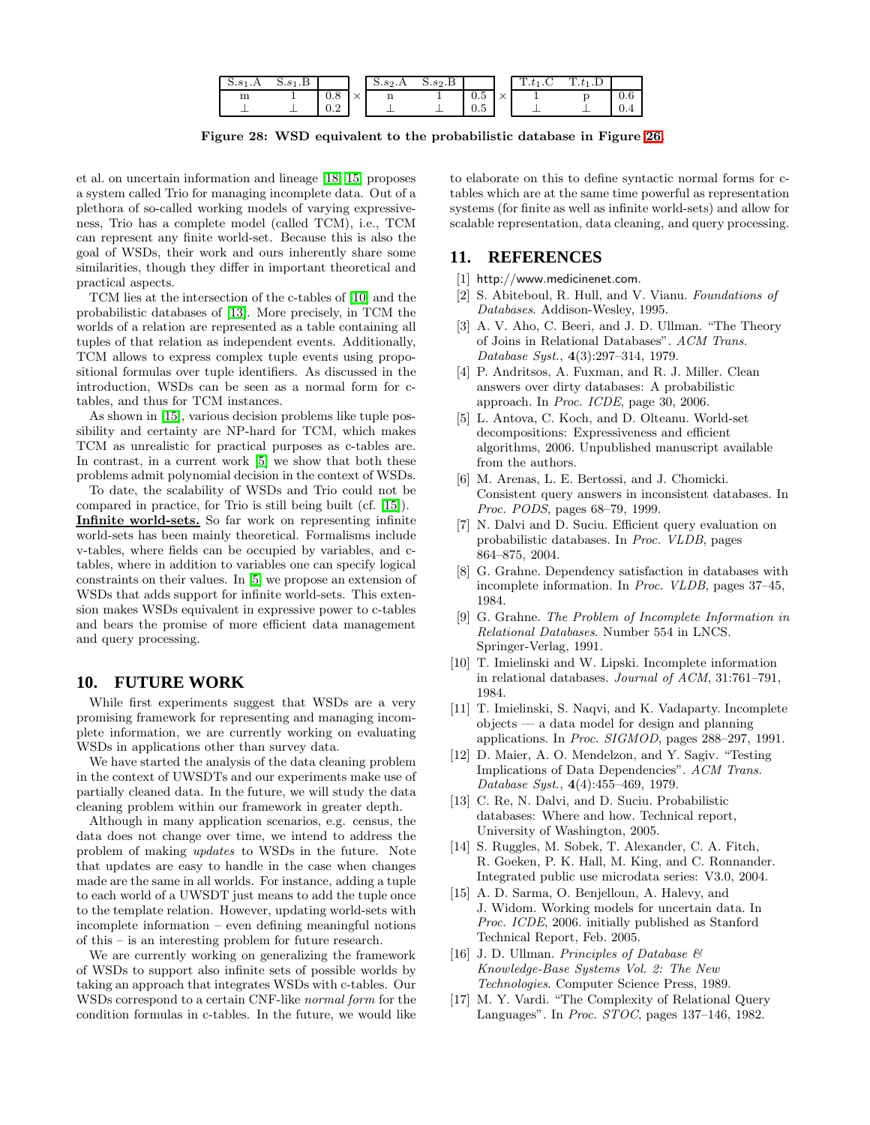| 5.81.A | $S.s1$ .B |     |                   | $S.s_2.A$    | S.s <sub>2</sub> .B |          |        | $1. t_1$ . U | $1.t_1.D$ |     |
|--------|-----------|-----|-------------------|--------------|---------------------|----------|--------|--------------|-----------|-----|
| --     |           | 0.8 | $\checkmark$<br>⌒ | $\mathbf{H}$ |                     | 0.5      | $\sim$ |              |           | 0.6 |
|        |           | U.Z |                   |              |                     | -<br>U.Ə |        |              |           | 0.4 |

<span id="page-14-17"></span>Figure 28: WSD equivalent to the probabilistic database in Figure [26.](#page-13-0)

et al. on uncertain information and lineage [\[18,](#page-15-0) [15\]](#page-14-16) proposes a system called Trio for managing incomplete data. Out of a plethora of so-called working models of varying expressiveness, Trio has a complete model (called TCM), i.e., TCM can represent any finite world-set. Because this is also the goal of WSDs, their work and ours inherently share some similarities, though they differ in important theoretical and practical aspects.

TCM lies at the intersection of the c-tables of [\[10\]](#page-14-0) and the probabilistic databases of [\[13\]](#page-14-18). More precisely, in TCM the worlds of a relation are represented as a table containing all tuples of that relation as independent events. Additionally, TCM allows to express complex tuple events using propositional formulas over tuple identifiers. As discussed in the introduction, WSDs can be seen as a normal form for ctables, and thus for TCM instances.

As shown in [\[15\]](#page-14-16), various decision problems like tuple possibility and certainty are NP-hard for TCM, which makes TCM as unrealistic for practical purposes as c-tables are. In contrast, in a current work [\[5\]](#page-14-11) we show that both these problems admit polynomial decision in the context of WSDs.

To date, the scalability of WSDs and Trio could not be compared in practice, for Trio is still being built (cf. [\[15\]](#page-14-16)). Infinite world-sets. So far work on representing infinite world-sets has been mainly theoretical. Formalisms include v-tables, where fields can be occupied by variables, and ctables, where in addition to variables one can specify logical constraints on their values. In [\[5\]](#page-14-11) we propose an extension of WSDs that adds support for infinite world-sets. This extension makes WSDs equivalent in expressive power to c-tables and bears the promise of more efficient data management and query processing.

# <span id="page-14-8"></span>**10. FUTURE WORK**

While first experiments suggest that WSDs are a very promising framework for representing and managing incomplete information, we are currently working on evaluating WSDs in applications other than survey data.

We have started the analysis of the data cleaning problem in the context of UWSDTs and our experiments make use of partially cleaned data. In the future, we will study the data cleaning problem within our framework in greater depth.

Although in many application scenarios, e.g. census, the data does not change over time, we intend to address the problem of making updates to WSDs in the future. Note that updates are easy to handle in the case when changes made are the same in all worlds. For instance, adding a tuple to each world of a UWSDT just means to add the tuple once to the template relation. However, updating world-sets with incomplete information – even defining meaningful notions of this – is an interesting problem for future research.

We are currently working on generalizing the framework of WSDs to support also infinite sets of possible worlds by taking an approach that integrates WSDs with c-tables. Our WSDs correspond to a certain CNF-like normal form for the condition formulas in c-tables. In the future, we would like

to elaborate on this to define syntactic normal forms for ctables which are at the same time powerful as representation systems (for finite as well as infinite world-sets) and allow for scalable representation, data cleaning, and query processing.

# <span id="page-14-13"></span><span id="page-14-9"></span>**11. REFERENCES**

- [1] http://www.medicinenet.com.
- [2] S. Abiteboul, R. Hull, and V. Vianu. Foundations of Databases. Addison-Wesley, 1995.
- <span id="page-14-5"></span>[3] A. V. Aho, C. Beeri, and J. D. Ullman. "The Theory of Joins in Relational Databases". ACM Trans. Database Syst., 4(3):297–314, 1979.
- <span id="page-14-15"></span>[4] P. Andritsos, A. Fuxman, and R. J. Miller. Clean answers over dirty databases: A probabilistic approach. In Proc. ICDE, page 30, 2006.
- <span id="page-14-11"></span>[5] L. Antova, C. Koch, and D. Olteanu. World-set decompositions: Expressiveness and efficient algorithms, 2006. Unpublished manuscript available from the authors.
- <span id="page-14-7"></span>[6] M. Arenas, L. E. Bertossi, and J. Chomicki. Consistent query answers in inconsistent databases. In Proc. PODS, pages 68–79, 1999.
- <span id="page-14-14"></span>[7] N. Dalvi and D. Suciu. Efficient query evaluation on probabilistic databases. In Proc. VLDB, pages 864–875, 2004.
- <span id="page-14-6"></span>[8] G. Grahne. Dependency satisfaction in databases with incomplete information. In Proc. VLDB, pages 37–45, 1984.
- <span id="page-14-3"></span>[9] G. Grahne. The Problem of Incomplete Information in Relational Databases. Number 554 in LNCS. Springer-Verlag, 1991.
- <span id="page-14-0"></span>[10] T. Imielinski and W. Lipski. Incomplete information in relational databases. Journal of ACM, 31:761–791, 1984.
- <span id="page-14-1"></span>[11] T. Imielinski, S. Naqvi, and K. Vadaparty. Incomplete objects — a data model for design and planning applications. In Proc. SIGMOD, pages 288–297, 1991.
- <span id="page-14-4"></span>[12] D. Maier, A. O. Mendelzon, and Y. Sagiv. "Testing Implications of Data Dependencies". ACM Trans. Database Syst., 4(4):455–469, 1979.
- <span id="page-14-18"></span>[13] C. Re, N. Dalvi, and D. Suciu. Probabilistic databases: Where and how. Technical report, University of Washington, 2005.
- <span id="page-14-12"></span>[14] S. Ruggles, M. Sobek, T. Alexander, C. A. Fitch, R. Goeken, P. K. Hall, M. King, and C. Ronnander. Integrated public use microdata series: V3.0, 2004.
- <span id="page-14-16"></span>[15] A. D. Sarma, O. Benjelloun, A. Halevy, and J. Widom. Working models for uncertain data. In Proc. ICDE, 2006. initially published as Stanford Technical Report, Feb. 2005.
- <span id="page-14-10"></span>[16] J. D. Ullman. Principles of Database  $\mathcal{B}$ Knowledge-Base Systems Vol. 2: The New Technologies. Computer Science Press, 1989.
- <span id="page-14-2"></span>[17] M. Y. Vardi. "The Complexity of Relational Query Languages". In Proc. STOC, pages 137–146, 1982.